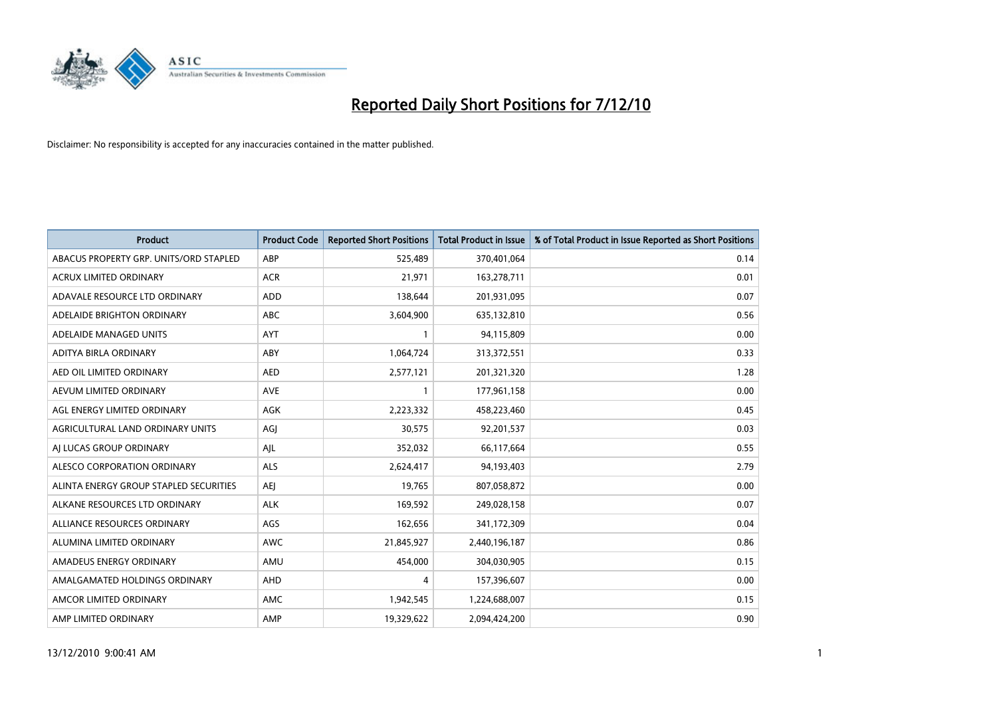

| <b>Product</b>                         | <b>Product Code</b> | <b>Reported Short Positions</b> | <b>Total Product in Issue</b> | % of Total Product in Issue Reported as Short Positions |
|----------------------------------------|---------------------|---------------------------------|-------------------------------|---------------------------------------------------------|
| ABACUS PROPERTY GRP. UNITS/ORD STAPLED | ABP                 | 525,489                         | 370,401,064                   | 0.14                                                    |
| <b>ACRUX LIMITED ORDINARY</b>          | <b>ACR</b>          | 21,971                          | 163,278,711                   | 0.01                                                    |
| ADAVALE RESOURCE LTD ORDINARY          | ADD                 | 138,644                         | 201,931,095                   | 0.07                                                    |
| ADELAIDE BRIGHTON ORDINARY             | <b>ABC</b>          | 3,604,900                       | 635,132,810                   | 0.56                                                    |
| ADELAIDE MANAGED UNITS                 | <b>AYT</b>          |                                 | 94,115,809                    | 0.00                                                    |
| ADITYA BIRLA ORDINARY                  | ABY                 | 1,064,724                       | 313,372,551                   | 0.33                                                    |
| AED OIL LIMITED ORDINARY               | <b>AED</b>          | 2,577,121                       | 201,321,320                   | 1.28                                                    |
| AEVUM LIMITED ORDINARY                 | <b>AVE</b>          |                                 | 177,961,158                   | 0.00                                                    |
| AGL ENERGY LIMITED ORDINARY            | <b>AGK</b>          | 2,223,332                       | 458,223,460                   | 0.45                                                    |
| AGRICULTURAL LAND ORDINARY UNITS       | AGI                 | 30,575                          | 92,201,537                    | 0.03                                                    |
| AI LUCAS GROUP ORDINARY                | AJL                 | 352,032                         | 66,117,664                    | 0.55                                                    |
| ALESCO CORPORATION ORDINARY            | <b>ALS</b>          | 2,624,417                       | 94,193,403                    | 2.79                                                    |
| ALINTA ENERGY GROUP STAPLED SECURITIES | <b>AEI</b>          | 19,765                          | 807,058,872                   | 0.00                                                    |
| ALKANE RESOURCES LTD ORDINARY          | <b>ALK</b>          | 169,592                         | 249,028,158                   | 0.07                                                    |
| ALLIANCE RESOURCES ORDINARY            | AGS                 | 162,656                         | 341,172,309                   | 0.04                                                    |
| ALUMINA LIMITED ORDINARY               | <b>AWC</b>          | 21,845,927                      | 2,440,196,187                 | 0.86                                                    |
| AMADEUS ENERGY ORDINARY                | AMU                 | 454,000                         | 304,030,905                   | 0.15                                                    |
| AMALGAMATED HOLDINGS ORDINARY          | AHD                 | 4                               | 157,396,607                   | 0.00                                                    |
| AMCOR LIMITED ORDINARY                 | AMC                 | 1,942,545                       | 1,224,688,007                 | 0.15                                                    |
| AMP LIMITED ORDINARY                   | AMP                 | 19,329,622                      | 2.094.424.200                 | 0.90                                                    |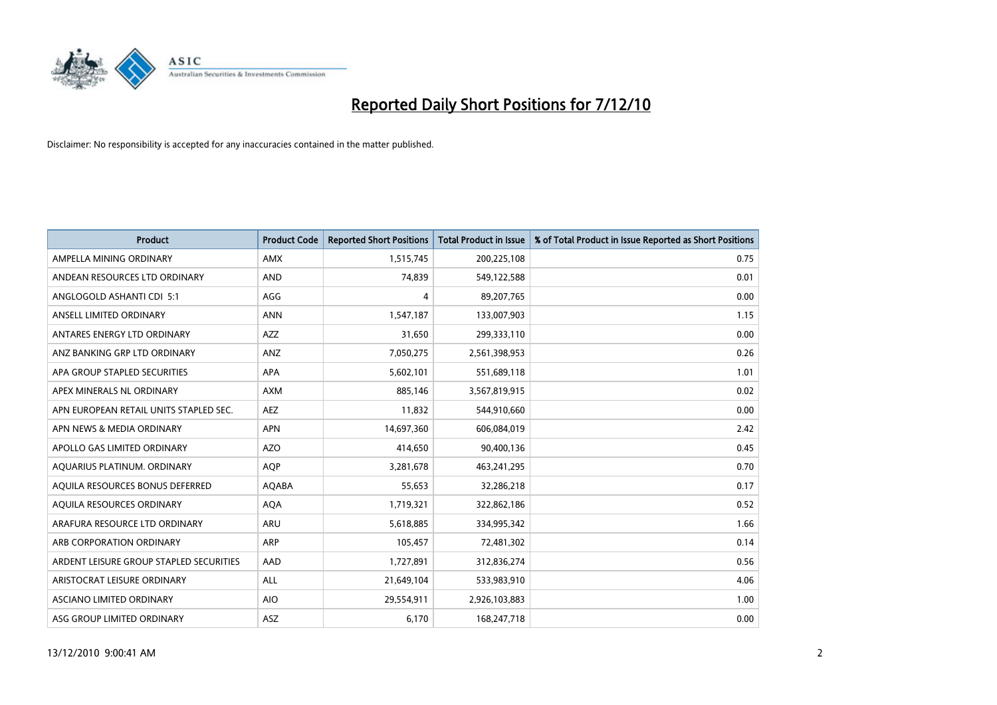

| <b>Product</b>                          | <b>Product Code</b> | <b>Reported Short Positions</b> | <b>Total Product in Issue</b> | % of Total Product in Issue Reported as Short Positions |
|-----------------------------------------|---------------------|---------------------------------|-------------------------------|---------------------------------------------------------|
| AMPELLA MINING ORDINARY                 | AMX                 | 1,515,745                       | 200,225,108                   | 0.75                                                    |
| ANDEAN RESOURCES LTD ORDINARY           | <b>AND</b>          | 74,839                          | 549,122,588                   | 0.01                                                    |
| ANGLOGOLD ASHANTI CDI 5:1               | AGG                 | 4                               | 89,207,765                    | 0.00                                                    |
| ANSELL LIMITED ORDINARY                 | <b>ANN</b>          | 1,547,187                       | 133,007,903                   | 1.15                                                    |
| ANTARES ENERGY LTD ORDINARY             | <b>AZZ</b>          | 31,650                          | 299,333,110                   | 0.00                                                    |
| ANZ BANKING GRP LTD ORDINARY            | <b>ANZ</b>          | 7,050,275                       | 2,561,398,953                 | 0.26                                                    |
| APA GROUP STAPLED SECURITIES            | <b>APA</b>          | 5,602,101                       | 551,689,118                   | 1.01                                                    |
| APEX MINERALS NL ORDINARY               | <b>AXM</b>          | 885,146                         | 3,567,819,915                 | 0.02                                                    |
| APN EUROPEAN RETAIL UNITS STAPLED SEC.  | <b>AEZ</b>          | 11,832                          | 544,910,660                   | 0.00                                                    |
| APN NEWS & MEDIA ORDINARY               | <b>APN</b>          | 14,697,360                      | 606,084,019                   | 2.42                                                    |
| APOLLO GAS LIMITED ORDINARY             | <b>AZO</b>          | 414,650                         | 90,400,136                    | 0.45                                                    |
| AQUARIUS PLATINUM. ORDINARY             | <b>AQP</b>          | 3,281,678                       | 463,241,295                   | 0.70                                                    |
| AQUILA RESOURCES BONUS DEFERRED         | <b>AQABA</b>        | 55,653                          | 32,286,218                    | 0.17                                                    |
| AQUILA RESOURCES ORDINARY               | <b>AQA</b>          | 1,719,321                       | 322,862,186                   | 0.52                                                    |
| ARAFURA RESOURCE LTD ORDINARY           | <b>ARU</b>          | 5,618,885                       | 334,995,342                   | 1.66                                                    |
| ARB CORPORATION ORDINARY                | ARP                 | 105,457                         | 72,481,302                    | 0.14                                                    |
| ARDENT LEISURE GROUP STAPLED SECURITIES | AAD                 | 1,727,891                       | 312,836,274                   | 0.56                                                    |
| ARISTOCRAT LEISURE ORDINARY             | ALL                 | 21,649,104                      | 533,983,910                   | 4.06                                                    |
| <b>ASCIANO LIMITED ORDINARY</b>         | <b>AIO</b>          | 29,554,911                      | 2,926,103,883                 | 1.00                                                    |
| ASG GROUP LIMITED ORDINARY              | ASZ                 | 6,170                           | 168,247,718                   | 0.00                                                    |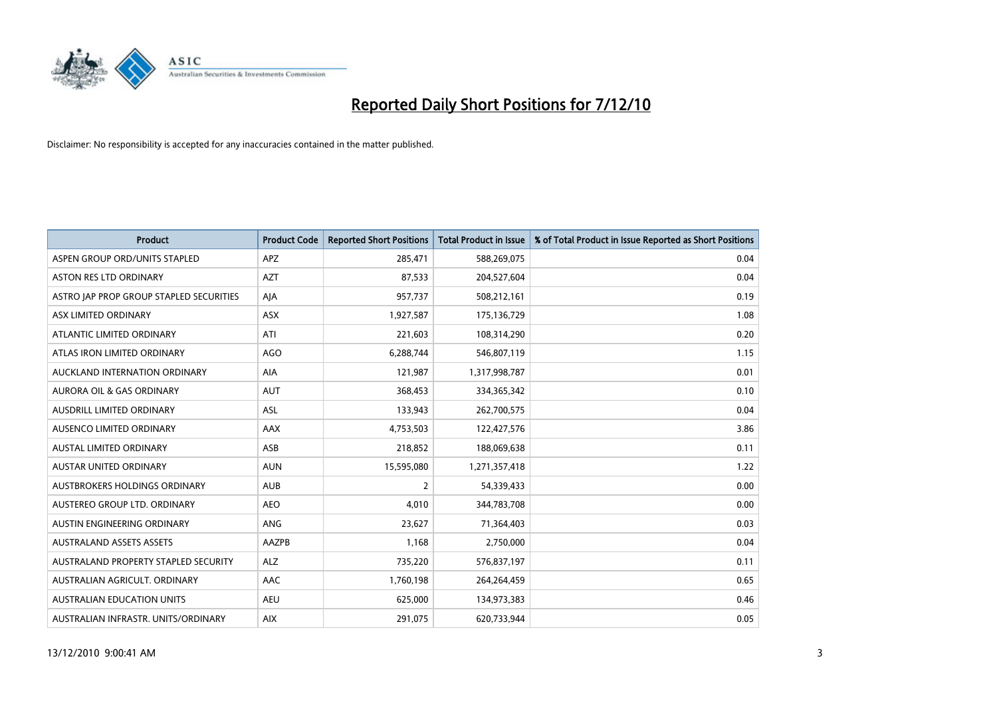

| <b>Product</b>                          | <b>Product Code</b> | <b>Reported Short Positions</b> | <b>Total Product in Issue</b> | % of Total Product in Issue Reported as Short Positions |
|-----------------------------------------|---------------------|---------------------------------|-------------------------------|---------------------------------------------------------|
| ASPEN GROUP ORD/UNITS STAPLED           | <b>APZ</b>          | 285.471                         | 588,269,075                   | 0.04                                                    |
| ASTON RES LTD ORDINARY                  | <b>AZT</b>          | 87,533                          | 204,527,604                   | 0.04                                                    |
| ASTRO JAP PROP GROUP STAPLED SECURITIES | AJA                 | 957,737                         | 508,212,161                   | 0.19                                                    |
| ASX LIMITED ORDINARY                    | <b>ASX</b>          | 1,927,587                       | 175,136,729                   | 1.08                                                    |
| ATLANTIC LIMITED ORDINARY               | ATI                 | 221,603                         | 108,314,290                   | 0.20                                                    |
| ATLAS IRON LIMITED ORDINARY             | <b>AGO</b>          | 6,288,744                       | 546,807,119                   | 1.15                                                    |
| AUCKLAND INTERNATION ORDINARY           | <b>AIA</b>          | 121,987                         | 1,317,998,787                 | 0.01                                                    |
| <b>AURORA OIL &amp; GAS ORDINARY</b>    | <b>AUT</b>          | 368.453                         | 334,365,342                   | 0.10                                                    |
| AUSDRILL LIMITED ORDINARY               | ASL                 | 133,943                         | 262,700,575                   | 0.04                                                    |
| AUSENCO LIMITED ORDINARY                | <b>AAX</b>          | 4,753,503                       | 122,427,576                   | 3.86                                                    |
| <b>AUSTAL LIMITED ORDINARY</b>          | ASB                 | 218,852                         | 188,069,638                   | 0.11                                                    |
| <b>AUSTAR UNITED ORDINARY</b>           | <b>AUN</b>          | 15,595,080                      | 1,271,357,418                 | 1.22                                                    |
| AUSTBROKERS HOLDINGS ORDINARY           | <b>AUB</b>          | $\overline{2}$                  | 54,339,433                    | 0.00                                                    |
| AUSTEREO GROUP LTD. ORDINARY            | <b>AEO</b>          | 4,010                           | 344,783,708                   | 0.00                                                    |
| AUSTIN ENGINEERING ORDINARY             | ANG                 | 23.627                          | 71,364,403                    | 0.03                                                    |
| <b>AUSTRALAND ASSETS ASSETS</b>         | <b>AAZPB</b>        | 1,168                           | 2,750,000                     | 0.04                                                    |
| AUSTRALAND PROPERTY STAPLED SECURITY    | <b>ALZ</b>          | 735,220                         | 576,837,197                   | 0.11                                                    |
| AUSTRALIAN AGRICULT. ORDINARY           | <b>AAC</b>          | 1,760,198                       | 264,264,459                   | 0.65                                                    |
| <b>AUSTRALIAN EDUCATION UNITS</b>       | <b>AEU</b>          | 625,000                         | 134,973,383                   | 0.46                                                    |
| AUSTRALIAN INFRASTR. UNITS/ORDINARY     | <b>AIX</b>          | 291,075                         | 620,733,944                   | 0.05                                                    |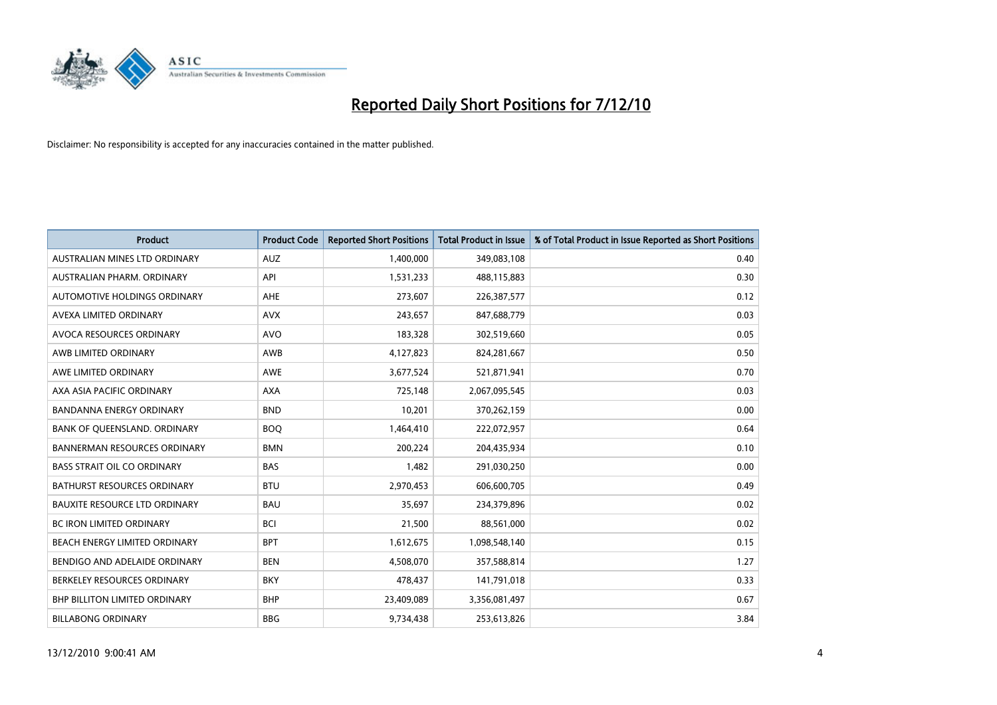

| <b>Product</b>                       | <b>Product Code</b> | <b>Reported Short Positions</b> | <b>Total Product in Issue</b> | % of Total Product in Issue Reported as Short Positions |
|--------------------------------------|---------------------|---------------------------------|-------------------------------|---------------------------------------------------------|
| AUSTRALIAN MINES LTD ORDINARY        | <b>AUZ</b>          | 1,400,000                       | 349,083,108                   | 0.40                                                    |
| AUSTRALIAN PHARM. ORDINARY           | API                 | 1,531,233                       | 488,115,883                   | 0.30                                                    |
| AUTOMOTIVE HOLDINGS ORDINARY         | <b>AHE</b>          | 273,607                         | 226,387,577                   | 0.12                                                    |
| AVEXA LIMITED ORDINARY               | <b>AVX</b>          | 243,657                         | 847,688,779                   | 0.03                                                    |
| <b>AVOCA RESOURCES ORDINARY</b>      | <b>AVO</b>          | 183,328                         | 302,519,660                   | 0.05                                                    |
| AWB LIMITED ORDINARY                 | AWB                 | 4,127,823                       | 824,281,667                   | 0.50                                                    |
| AWE LIMITED ORDINARY                 | <b>AWE</b>          | 3,677,524                       | 521,871,941                   | 0.70                                                    |
| AXA ASIA PACIFIC ORDINARY            | <b>AXA</b>          | 725,148                         | 2,067,095,545                 | 0.03                                                    |
| BANDANNA ENERGY ORDINARY             | <b>BND</b>          | 10,201                          | 370,262,159                   | 0.00                                                    |
| BANK OF QUEENSLAND. ORDINARY         | <b>BOO</b>          | 1,464,410                       | 222,072,957                   | 0.64                                                    |
| <b>BANNERMAN RESOURCES ORDINARY</b>  | <b>BMN</b>          | 200,224                         | 204,435,934                   | 0.10                                                    |
| <b>BASS STRAIT OIL CO ORDINARY</b>   | <b>BAS</b>          | 1,482                           | 291,030,250                   | 0.00                                                    |
| <b>BATHURST RESOURCES ORDINARY</b>   | <b>BTU</b>          | 2,970,453                       | 606,600,705                   | 0.49                                                    |
| <b>BAUXITE RESOURCE LTD ORDINARY</b> | <b>BAU</b>          | 35,697                          | 234,379,896                   | 0.02                                                    |
| <b>BC IRON LIMITED ORDINARY</b>      | <b>BCI</b>          | 21,500                          | 88,561,000                    | 0.02                                                    |
| BEACH ENERGY LIMITED ORDINARY        | <b>BPT</b>          | 1,612,675                       | 1,098,548,140                 | 0.15                                                    |
| BENDIGO AND ADELAIDE ORDINARY        | <b>BEN</b>          | 4,508,070                       | 357,588,814                   | 1.27                                                    |
| BERKELEY RESOURCES ORDINARY          | <b>BKY</b>          | 478,437                         | 141,791,018                   | 0.33                                                    |
| <b>BHP BILLITON LIMITED ORDINARY</b> | <b>BHP</b>          | 23,409,089                      | 3,356,081,497                 | 0.67                                                    |
| <b>BILLABONG ORDINARY</b>            | <b>BBG</b>          | 9,734,438                       | 253,613,826                   | 3.84                                                    |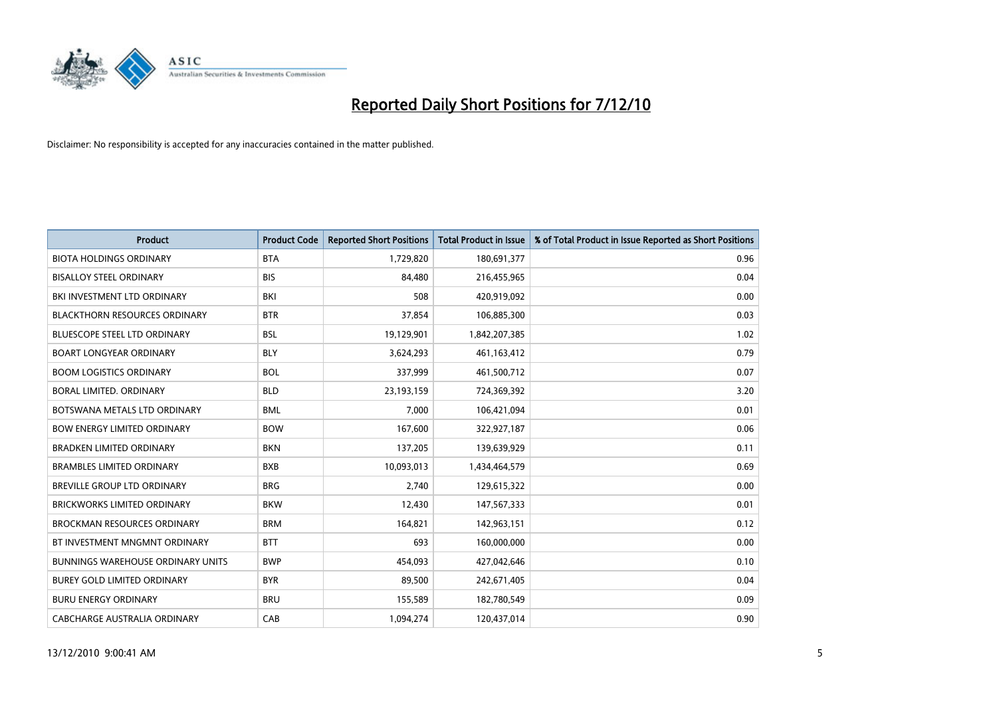

| <b>Product</b>                           | <b>Product Code</b> | <b>Reported Short Positions</b> | <b>Total Product in Issue</b> | % of Total Product in Issue Reported as Short Positions |
|------------------------------------------|---------------------|---------------------------------|-------------------------------|---------------------------------------------------------|
| <b>BIOTA HOLDINGS ORDINARY</b>           | <b>BTA</b>          | 1,729,820                       | 180,691,377                   | 0.96                                                    |
| <b>BISALLOY STEEL ORDINARY</b>           | <b>BIS</b>          | 84.480                          | 216,455,965                   | 0.04                                                    |
| BKI INVESTMENT LTD ORDINARY              | <b>BKI</b>          | 508                             | 420,919,092                   | 0.00                                                    |
| <b>BLACKTHORN RESOURCES ORDINARY</b>     | <b>BTR</b>          | 37,854                          | 106,885,300                   | 0.03                                                    |
| <b>BLUESCOPE STEEL LTD ORDINARY</b>      | <b>BSL</b>          | 19,129,901                      | 1,842,207,385                 | 1.02                                                    |
| <b>BOART LONGYEAR ORDINARY</b>           | <b>BLY</b>          | 3,624,293                       | 461,163,412                   | 0.79                                                    |
| <b>BOOM LOGISTICS ORDINARY</b>           | <b>BOL</b>          | 337.999                         | 461,500,712                   | 0.07                                                    |
| <b>BORAL LIMITED, ORDINARY</b>           | <b>BLD</b>          | 23,193,159                      | 724,369,392                   | 3.20                                                    |
| BOTSWANA METALS LTD ORDINARY             | <b>BML</b>          | 7,000                           | 106,421,094                   | 0.01                                                    |
| <b>BOW ENERGY LIMITED ORDINARY</b>       | <b>BOW</b>          | 167,600                         | 322,927,187                   | 0.06                                                    |
| <b>BRADKEN LIMITED ORDINARY</b>          | <b>BKN</b>          | 137,205                         | 139,639,929                   | 0.11                                                    |
| <b>BRAMBLES LIMITED ORDINARY</b>         | <b>BXB</b>          | 10,093,013                      | 1,434,464,579                 | 0.69                                                    |
| <b>BREVILLE GROUP LTD ORDINARY</b>       | <b>BRG</b>          | 2.740                           | 129,615,322                   | 0.00                                                    |
| <b>BRICKWORKS LIMITED ORDINARY</b>       | <b>BKW</b>          | 12,430                          | 147,567,333                   | 0.01                                                    |
| <b>BROCKMAN RESOURCES ORDINARY</b>       | <b>BRM</b>          | 164,821                         | 142,963,151                   | 0.12                                                    |
| BT INVESTMENT MNGMNT ORDINARY            | <b>BTT</b>          | 693                             | 160,000,000                   | 0.00                                                    |
| <b>BUNNINGS WAREHOUSE ORDINARY UNITS</b> | <b>BWP</b>          | 454,093                         | 427,042,646                   | 0.10                                                    |
| BUREY GOLD LIMITED ORDINARY              | <b>BYR</b>          | 89,500                          | 242,671,405                   | 0.04                                                    |
| <b>BURU ENERGY ORDINARY</b>              | <b>BRU</b>          | 155,589                         | 182,780,549                   | 0.09                                                    |
| CABCHARGE AUSTRALIA ORDINARY             | CAB                 | 1,094,274                       | 120,437,014                   | 0.90                                                    |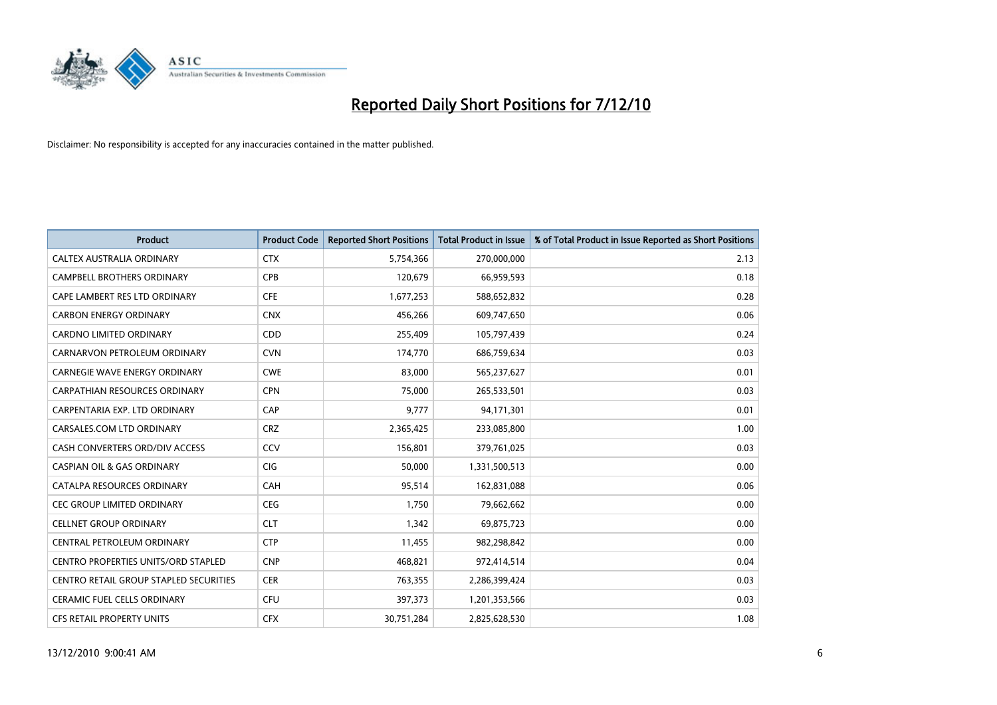

| <b>Product</b>                             | <b>Product Code</b> | <b>Reported Short Positions</b> | <b>Total Product in Issue</b> | % of Total Product in Issue Reported as Short Positions |
|--------------------------------------------|---------------------|---------------------------------|-------------------------------|---------------------------------------------------------|
| CALTEX AUSTRALIA ORDINARY                  | <b>CTX</b>          | 5,754,366                       | 270,000,000                   | 2.13                                                    |
| <b>CAMPBELL BROTHERS ORDINARY</b>          | <b>CPB</b>          | 120,679                         | 66,959,593                    | 0.18                                                    |
| CAPE LAMBERT RES LTD ORDINARY              | <b>CFE</b>          | 1,677,253                       | 588,652,832                   | 0.28                                                    |
| <b>CARBON ENERGY ORDINARY</b>              | <b>CNX</b>          | 456,266                         | 609,747,650                   | 0.06                                                    |
| <b>CARDNO LIMITED ORDINARY</b>             | CDD                 | 255,409                         | 105,797,439                   | 0.24                                                    |
| CARNARVON PETROLEUM ORDINARY               | <b>CVN</b>          | 174,770                         | 686,759,634                   | 0.03                                                    |
| <b>CARNEGIE WAVE ENERGY ORDINARY</b>       | <b>CWE</b>          | 83.000                          | 565,237,627                   | 0.01                                                    |
| <b>CARPATHIAN RESOURCES ORDINARY</b>       | <b>CPN</b>          | 75,000                          | 265,533,501                   | 0.03                                                    |
| CARPENTARIA EXP. LTD ORDINARY              | CAP                 | 9,777                           | 94,171,301                    | 0.01                                                    |
| CARSALES.COM LTD ORDINARY                  | <b>CRZ</b>          | 2,365,425                       | 233,085,800                   | 1.00                                                    |
| CASH CONVERTERS ORD/DIV ACCESS             | CCV                 | 156,801                         | 379,761,025                   | 0.03                                                    |
| <b>CASPIAN OIL &amp; GAS ORDINARY</b>      | <b>CIG</b>          | 50,000                          | 1,331,500,513                 | 0.00                                                    |
| CATALPA RESOURCES ORDINARY                 | CAH                 | 95,514                          | 162,831,088                   | 0.06                                                    |
| <b>CEC GROUP LIMITED ORDINARY</b>          | <b>CEG</b>          | 1,750                           | 79,662,662                    | 0.00                                                    |
| <b>CELLNET GROUP ORDINARY</b>              | <b>CLT</b>          | 1,342                           | 69,875,723                    | 0.00                                                    |
| CENTRAL PETROLEUM ORDINARY                 | <b>CTP</b>          | 11,455                          | 982,298,842                   | 0.00                                                    |
| <b>CENTRO PROPERTIES UNITS/ORD STAPLED</b> | <b>CNP</b>          | 468,821                         | 972,414,514                   | 0.04                                                    |
| CENTRO RETAIL GROUP STAPLED SECURITIES     | <b>CER</b>          | 763,355                         | 2,286,399,424                 | 0.03                                                    |
| <b>CERAMIC FUEL CELLS ORDINARY</b>         | <b>CFU</b>          | 397,373                         | 1,201,353,566                 | 0.03                                                    |
| <b>CFS RETAIL PROPERTY UNITS</b>           | <b>CFX</b>          | 30,751,284                      | 2,825,628,530                 | 1.08                                                    |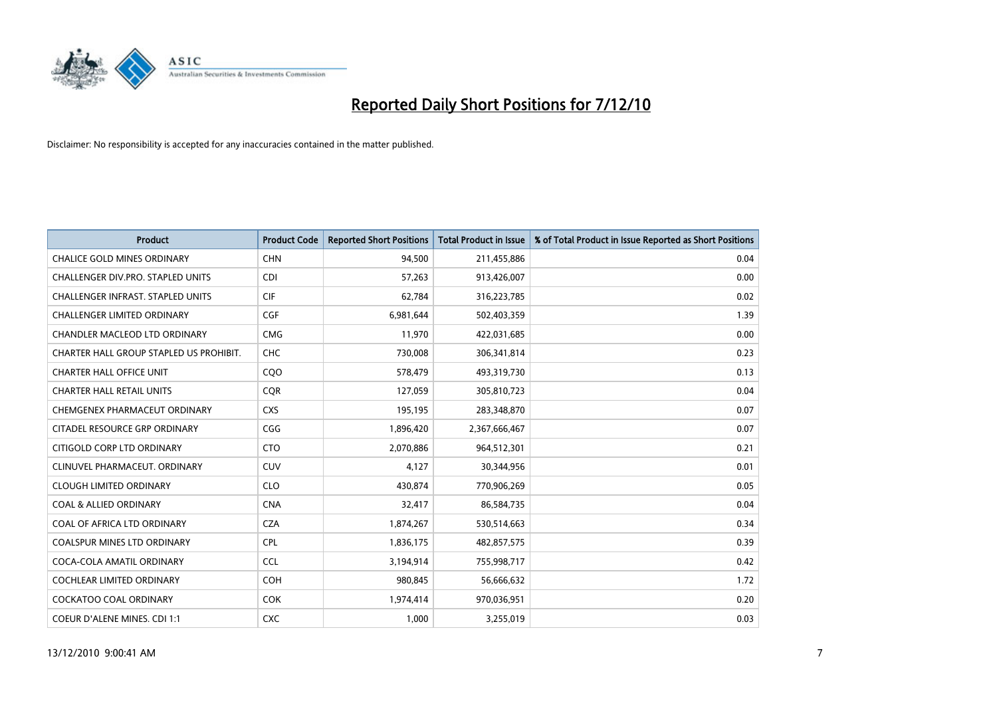

| <b>Product</b>                          | <b>Product Code</b> | <b>Reported Short Positions</b> | <b>Total Product in Issue</b> | % of Total Product in Issue Reported as Short Positions |
|-----------------------------------------|---------------------|---------------------------------|-------------------------------|---------------------------------------------------------|
| <b>CHALICE GOLD MINES ORDINARY</b>      | <b>CHN</b>          | 94.500                          | 211,455,886                   | 0.04                                                    |
| CHALLENGER DIV.PRO. STAPLED UNITS       | <b>CDI</b>          | 57,263                          | 913,426,007                   | 0.00                                                    |
| CHALLENGER INFRAST. STAPLED UNITS       | <b>CIF</b>          | 62.784                          | 316,223,785                   | 0.02                                                    |
| CHALLENGER LIMITED ORDINARY             | <b>CGF</b>          | 6,981,644                       | 502,403,359                   | 1.39                                                    |
| <b>CHANDLER MACLEOD LTD ORDINARY</b>    | <b>CMG</b>          | 11,970                          | 422,031,685                   | 0.00                                                    |
| CHARTER HALL GROUP STAPLED US PROHIBIT. | CHC                 | 730,008                         | 306,341,814                   | 0.23                                                    |
| <b>CHARTER HALL OFFICE UNIT</b>         | COO                 | 578,479                         | 493,319,730                   | 0.13                                                    |
| <b>CHARTER HALL RETAIL UNITS</b>        | <b>COR</b>          | 127,059                         | 305,810,723                   | 0.04                                                    |
| CHEMGENEX PHARMACEUT ORDINARY           | <b>CXS</b>          | 195,195                         | 283,348,870                   | 0.07                                                    |
| CITADEL RESOURCE GRP ORDINARY           | CGG                 | 1,896,420                       | 2,367,666,467                 | 0.07                                                    |
| CITIGOLD CORP LTD ORDINARY              | <b>CTO</b>          | 2,070,886                       | 964,512,301                   | 0.21                                                    |
| CLINUVEL PHARMACEUT. ORDINARY           | <b>CUV</b>          | 4,127                           | 30,344,956                    | 0.01                                                    |
| <b>CLOUGH LIMITED ORDINARY</b>          | <b>CLO</b>          | 430,874                         | 770,906,269                   | 0.05                                                    |
| <b>COAL &amp; ALLIED ORDINARY</b>       | <b>CNA</b>          | 32,417                          | 86,584,735                    | 0.04                                                    |
| COAL OF AFRICA LTD ORDINARY             | <b>CZA</b>          | 1,874,267                       | 530,514,663                   | 0.34                                                    |
| COALSPUR MINES LTD ORDINARY             | <b>CPL</b>          | 1,836,175                       | 482,857,575                   | 0.39                                                    |
| COCA-COLA AMATIL ORDINARY               | <b>CCL</b>          | 3,194,914                       | 755,998,717                   | 0.42                                                    |
| COCHLEAR LIMITED ORDINARY               | <b>COH</b>          | 980,845                         | 56,666,632                    | 1.72                                                    |
| <b>COCKATOO COAL ORDINARY</b>           | <b>COK</b>          | 1,974,414                       | 970,036,951                   | 0.20                                                    |
| <b>COEUR D'ALENE MINES. CDI 1:1</b>     | <b>CXC</b>          | 1,000                           | 3,255,019                     | 0.03                                                    |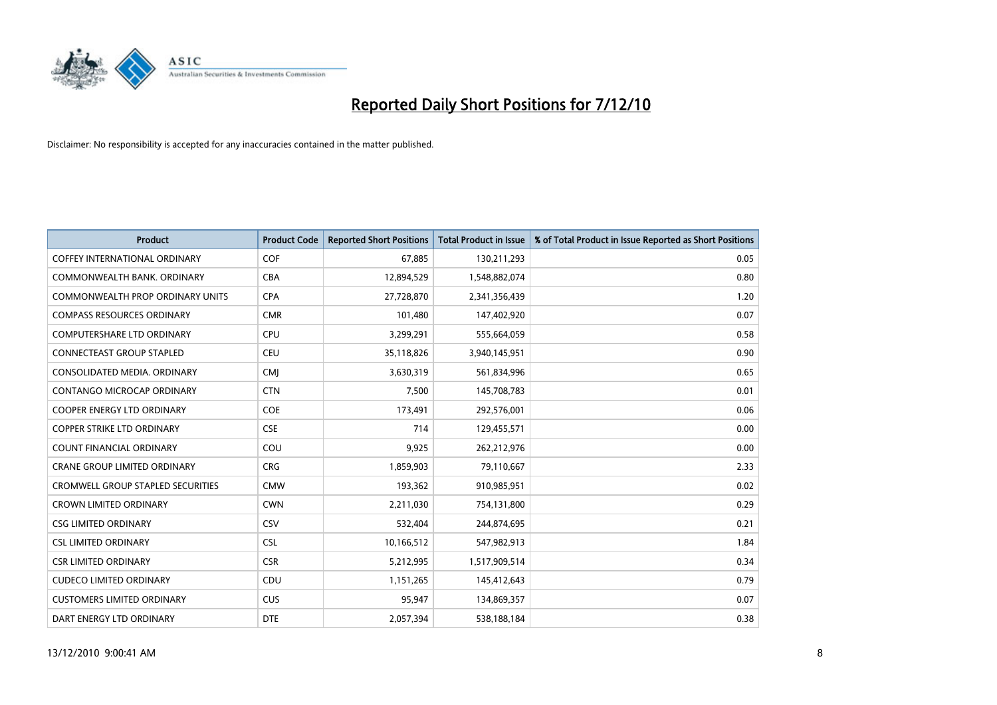

| <b>Product</b>                           | <b>Product Code</b> | <b>Reported Short Positions</b> | Total Product in Issue | % of Total Product in Issue Reported as Short Positions |
|------------------------------------------|---------------------|---------------------------------|------------------------|---------------------------------------------------------|
| <b>COFFEY INTERNATIONAL ORDINARY</b>     | <b>COF</b>          | 67,885                          | 130,211,293            | 0.05                                                    |
| COMMONWEALTH BANK, ORDINARY              | <b>CBA</b>          | 12,894,529                      | 1,548,882,074          | 0.80                                                    |
| COMMONWEALTH PROP ORDINARY UNITS         | <b>CPA</b>          | 27,728,870                      | 2,341,356,439          | 1.20                                                    |
| <b>COMPASS RESOURCES ORDINARY</b>        | <b>CMR</b>          | 101,480                         | 147,402,920            | 0.07                                                    |
| <b>COMPUTERSHARE LTD ORDINARY</b>        | <b>CPU</b>          | 3,299,291                       | 555,664,059            | 0.58                                                    |
| <b>CONNECTEAST GROUP STAPLED</b>         | <b>CEU</b>          | 35,118,826                      | 3,940,145,951          | 0.90                                                    |
| CONSOLIDATED MEDIA, ORDINARY             | <b>CMI</b>          | 3,630,319                       | 561,834,996            | 0.65                                                    |
| CONTANGO MICROCAP ORDINARY               | <b>CTN</b>          | 7,500                           | 145,708,783            | 0.01                                                    |
| COOPER ENERGY LTD ORDINARY               | <b>COE</b>          | 173,491                         | 292,576,001            | 0.06                                                    |
| <b>COPPER STRIKE LTD ORDINARY</b>        | <b>CSE</b>          | 714                             | 129,455,571            | 0.00                                                    |
| <b>COUNT FINANCIAL ORDINARY</b>          | COU                 | 9,925                           | 262,212,976            | 0.00                                                    |
| <b>CRANE GROUP LIMITED ORDINARY</b>      | <b>CRG</b>          | 1,859,903                       | 79,110,667             | 2.33                                                    |
| <b>CROMWELL GROUP STAPLED SECURITIES</b> | <b>CMW</b>          | 193,362                         | 910,985,951            | 0.02                                                    |
| <b>CROWN LIMITED ORDINARY</b>            | <b>CWN</b>          | 2,211,030                       | 754,131,800            | 0.29                                                    |
| <b>CSG LIMITED ORDINARY</b>              | CSV                 | 532,404                         | 244,874,695            | 0.21                                                    |
| <b>CSL LIMITED ORDINARY</b>              | <b>CSL</b>          | 10,166,512                      | 547,982,913            | 1.84                                                    |
| <b>CSR LIMITED ORDINARY</b>              | <b>CSR</b>          | 5,212,995                       | 1,517,909,514          | 0.34                                                    |
| <b>CUDECO LIMITED ORDINARY</b>           | CDU                 | 1,151,265                       | 145,412,643            | 0.79                                                    |
| <b>CUSTOMERS LIMITED ORDINARY</b>        | CUS                 | 95,947                          | 134,869,357            | 0.07                                                    |
| DART ENERGY LTD ORDINARY                 | <b>DTE</b>          | 2,057,394                       | 538,188,184            | 0.38                                                    |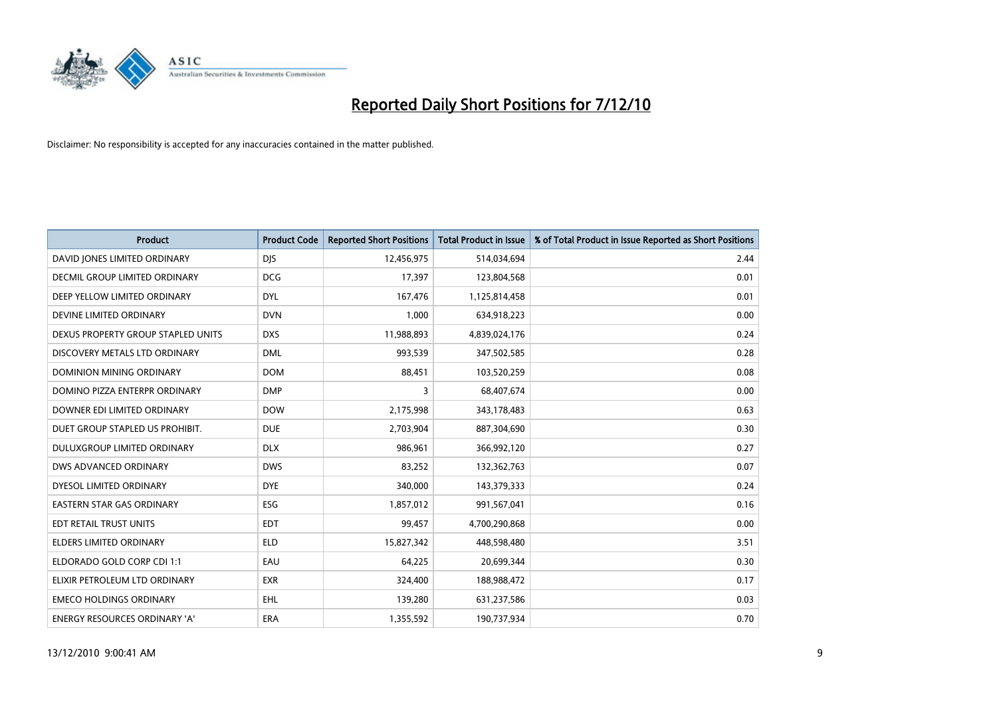

| <b>Product</b>                       | <b>Product Code</b> | <b>Reported Short Positions</b> | Total Product in Issue | % of Total Product in Issue Reported as Short Positions |
|--------------------------------------|---------------------|---------------------------------|------------------------|---------------------------------------------------------|
| DAVID JONES LIMITED ORDINARY         | <b>DJS</b>          | 12,456,975                      | 514,034,694            | 2.44                                                    |
| <b>DECMIL GROUP LIMITED ORDINARY</b> | <b>DCG</b>          | 17,397                          | 123,804,568            | 0.01                                                    |
| DEEP YELLOW LIMITED ORDINARY         | <b>DYL</b>          | 167,476                         | 1,125,814,458          | 0.01                                                    |
| DEVINE LIMITED ORDINARY              | <b>DVN</b>          | 1,000                           | 634,918,223            | 0.00                                                    |
| DEXUS PROPERTY GROUP STAPLED UNITS   | <b>DXS</b>          | 11,988,893                      | 4,839,024,176          | 0.24                                                    |
| DISCOVERY METALS LTD ORDINARY        | <b>DML</b>          | 993,539                         | 347,502,585            | 0.28                                                    |
| DOMINION MINING ORDINARY             | <b>DOM</b>          | 88,451                          | 103,520,259            | 0.08                                                    |
| DOMINO PIZZA ENTERPR ORDINARY        | <b>DMP</b>          | 3                               | 68,407,674             | 0.00                                                    |
| DOWNER EDI LIMITED ORDINARY          | <b>DOW</b>          | 2,175,998                       | 343,178,483            | 0.63                                                    |
| DUET GROUP STAPLED US PROHIBIT.      | <b>DUE</b>          | 2,703,904                       | 887,304,690            | 0.30                                                    |
| DULUXGROUP LIMITED ORDINARY          | <b>DLX</b>          | 986,961                         | 366,992,120            | 0.27                                                    |
| DWS ADVANCED ORDINARY                | <b>DWS</b>          | 83,252                          | 132,362,763            | 0.07                                                    |
| DYESOL LIMITED ORDINARY              | <b>DYE</b>          | 340,000                         | 143,379,333            | 0.24                                                    |
| <b>EASTERN STAR GAS ORDINARY</b>     | ESG                 | 1,857,012                       | 991,567,041            | 0.16                                                    |
| EDT RETAIL TRUST UNITS               | <b>EDT</b>          | 99,457                          | 4,700,290,868          | 0.00                                                    |
| <b>ELDERS LIMITED ORDINARY</b>       | <b>ELD</b>          | 15,827,342                      | 448,598,480            | 3.51                                                    |
| ELDORADO GOLD CORP CDI 1:1           | EAU                 | 64,225                          | 20,699,344             | 0.30                                                    |
| ELIXIR PETROLEUM LTD ORDINARY        | <b>EXR</b>          | 324,400                         | 188,988,472            | 0.17                                                    |
| <b>EMECO HOLDINGS ORDINARY</b>       | <b>EHL</b>          | 139,280                         | 631,237,586            | 0.03                                                    |
| <b>ENERGY RESOURCES ORDINARY 'A'</b> | <b>ERA</b>          | 1,355,592                       | 190,737,934            | 0.70                                                    |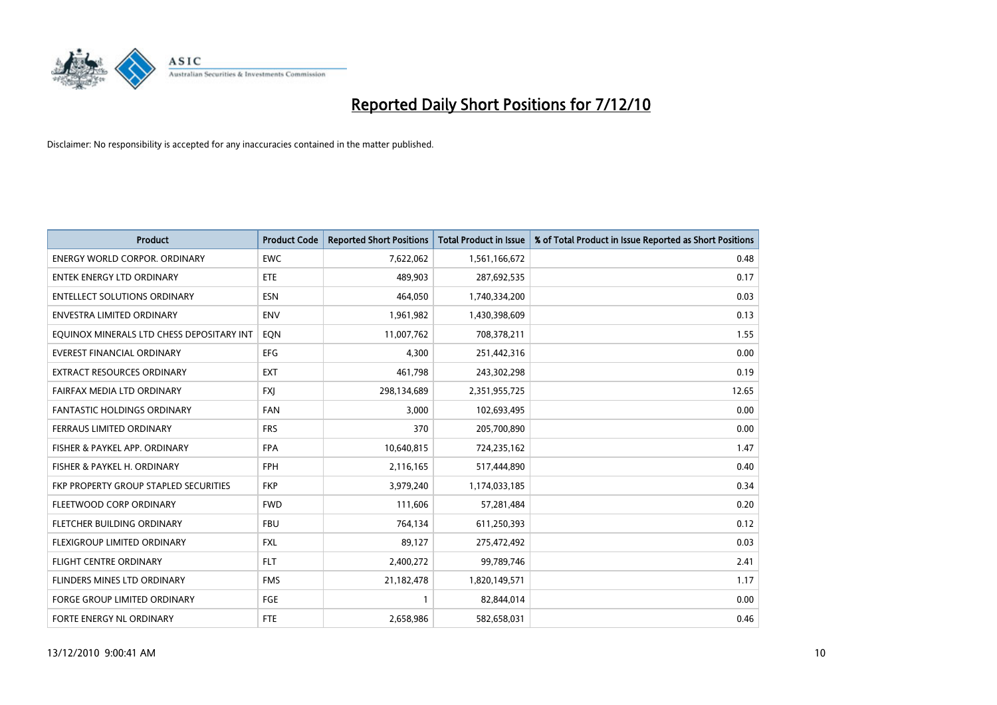

| <b>Product</b>                            | <b>Product Code</b> | <b>Reported Short Positions</b> | <b>Total Product in Issue</b> | % of Total Product in Issue Reported as Short Positions |
|-------------------------------------------|---------------------|---------------------------------|-------------------------------|---------------------------------------------------------|
| <b>ENERGY WORLD CORPOR, ORDINARY</b>      | <b>EWC</b>          | 7,622,062                       | 1,561,166,672                 | 0.48                                                    |
| ENTEK ENERGY LTD ORDINARY                 | ETE                 | 489,903                         | 287,692,535                   | 0.17                                                    |
| <b>ENTELLECT SOLUTIONS ORDINARY</b>       | <b>ESN</b>          | 464,050                         | 1,740,334,200                 | 0.03                                                    |
| ENVESTRA LIMITED ORDINARY                 | <b>ENV</b>          | 1,961,982                       | 1,430,398,609                 | 0.13                                                    |
| EQUINOX MINERALS LTD CHESS DEPOSITARY INT | EON                 | 11,007,762                      | 708,378,211                   | 1.55                                                    |
| <b>EVEREST FINANCIAL ORDINARY</b>         | <b>EFG</b>          | 4.300                           | 251,442,316                   | 0.00                                                    |
| EXTRACT RESOURCES ORDINARY                | <b>EXT</b>          | 461,798                         | 243,302,298                   | 0.19                                                    |
| FAIRFAX MEDIA LTD ORDINARY                | <b>FXJ</b>          | 298,134,689                     | 2,351,955,725                 | 12.65                                                   |
| FANTASTIC HOLDINGS ORDINARY               | <b>FAN</b>          | 3,000                           | 102,693,495                   | 0.00                                                    |
| FERRAUS LIMITED ORDINARY                  | <b>FRS</b>          | 370                             | 205,700,890                   | 0.00                                                    |
| FISHER & PAYKEL APP. ORDINARY             | <b>FPA</b>          | 10,640,815                      | 724,235,162                   | 1.47                                                    |
| FISHER & PAYKEL H. ORDINARY               | <b>FPH</b>          | 2,116,165                       | 517,444,890                   | 0.40                                                    |
| FKP PROPERTY GROUP STAPLED SECURITIES     | <b>FKP</b>          | 3,979,240                       | 1,174,033,185                 | 0.34                                                    |
| <b>FLEETWOOD CORP ORDINARY</b>            | <b>FWD</b>          | 111,606                         | 57,281,484                    | 0.20                                                    |
| FLETCHER BUILDING ORDINARY                | <b>FBU</b>          | 764,134                         | 611,250,393                   | 0.12                                                    |
| FLEXIGROUP LIMITED ORDINARY               | <b>FXL</b>          | 89,127                          | 275,472,492                   | 0.03                                                    |
| <b>FLIGHT CENTRE ORDINARY</b>             | <b>FLT</b>          | 2,400,272                       | 99,789,746                    | 2.41                                                    |
| FLINDERS MINES LTD ORDINARY               | <b>FMS</b>          | 21,182,478                      | 1,820,149,571                 | 1.17                                                    |
| <b>FORGE GROUP LIMITED ORDINARY</b>       | <b>FGE</b>          |                                 | 82,844,014                    | 0.00                                                    |
| FORTE ENERGY NL ORDINARY                  | <b>FTE</b>          | 2,658,986                       | 582,658,031                   | 0.46                                                    |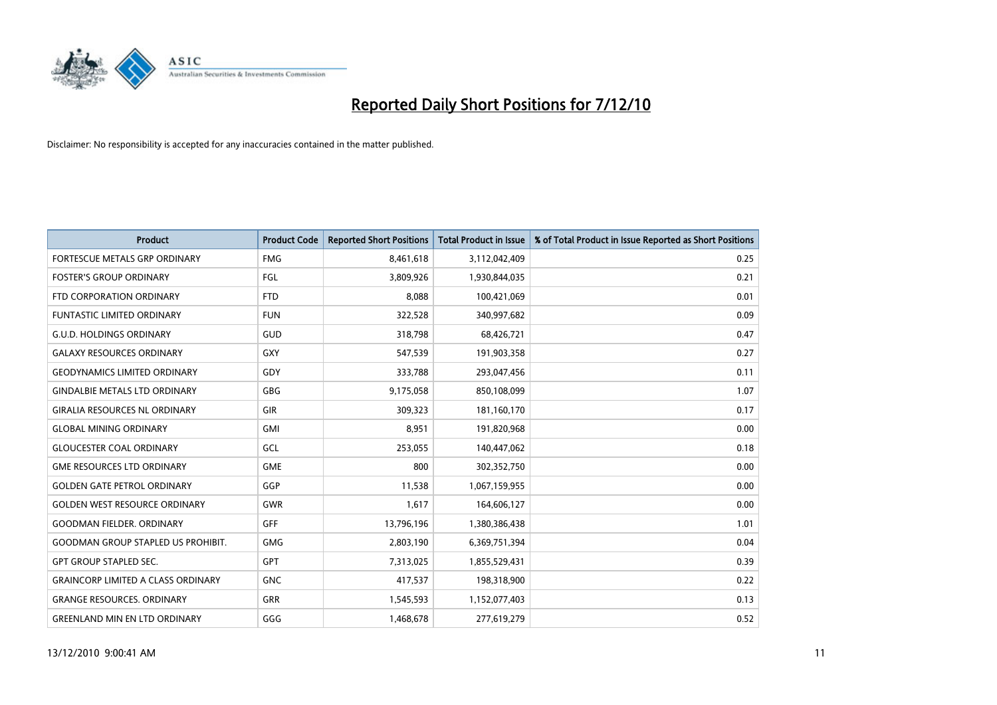

| <b>Product</b>                            | <b>Product Code</b> | <b>Reported Short Positions</b> | <b>Total Product in Issue</b> | % of Total Product in Issue Reported as Short Positions |
|-------------------------------------------|---------------------|---------------------------------|-------------------------------|---------------------------------------------------------|
| <b>FORTESCUE METALS GRP ORDINARY</b>      | <b>FMG</b>          | 8,461,618                       | 3,112,042,409                 | 0.25                                                    |
| <b>FOSTER'S GROUP ORDINARY</b>            | FGL                 | 3,809,926                       | 1,930,844,035                 | 0.21                                                    |
| FTD CORPORATION ORDINARY                  | <b>FTD</b>          | 8,088                           | 100,421,069                   | 0.01                                                    |
| FUNTASTIC LIMITED ORDINARY                | <b>FUN</b>          | 322,528                         | 340,997,682                   | 0.09                                                    |
| <b>G.U.D. HOLDINGS ORDINARY</b>           | GUD                 | 318,798                         | 68,426,721                    | 0.47                                                    |
| <b>GALAXY RESOURCES ORDINARY</b>          | GXY                 | 547,539                         | 191,903,358                   | 0.27                                                    |
| <b>GEODYNAMICS LIMITED ORDINARY</b>       | GDY                 | 333,788                         | 293,047,456                   | 0.11                                                    |
| <b>GINDALBIE METALS LTD ORDINARY</b>      | <b>GBG</b>          | 9,175,058                       | 850,108,099                   | 1.07                                                    |
| <b>GIRALIA RESOURCES NL ORDINARY</b>      | <b>GIR</b>          | 309,323                         | 181,160,170                   | 0.17                                                    |
| <b>GLOBAL MINING ORDINARY</b>             | <b>GMI</b>          | 8,951                           | 191,820,968                   | 0.00                                                    |
| <b>GLOUCESTER COAL ORDINARY</b>           | GCL                 | 253,055                         | 140,447,062                   | 0.18                                                    |
| <b>GME RESOURCES LTD ORDINARY</b>         | <b>GME</b>          | 800                             | 302,352,750                   | 0.00                                                    |
| <b>GOLDEN GATE PETROL ORDINARY</b>        | GGP                 | 11,538                          | 1,067,159,955                 | 0.00                                                    |
| <b>GOLDEN WEST RESOURCE ORDINARY</b>      | GWR                 | 1,617                           | 164,606,127                   | 0.00                                                    |
| <b>GOODMAN FIELDER. ORDINARY</b>          | <b>GFF</b>          | 13,796,196                      | 1,380,386,438                 | 1.01                                                    |
| <b>GOODMAN GROUP STAPLED US PROHIBIT.</b> | <b>GMG</b>          | 2,803,190                       | 6,369,751,394                 | 0.04                                                    |
| <b>GPT GROUP STAPLED SEC.</b>             | <b>GPT</b>          | 7,313,025                       | 1,855,529,431                 | 0.39                                                    |
| <b>GRAINCORP LIMITED A CLASS ORDINARY</b> | <b>GNC</b>          | 417,537                         | 198,318,900                   | 0.22                                                    |
| <b>GRANGE RESOURCES, ORDINARY</b>         | <b>GRR</b>          | 1,545,593                       | 1,152,077,403                 | 0.13                                                    |
| <b>GREENLAND MIN EN LTD ORDINARY</b>      | GGG                 | 1,468,678                       | 277,619,279                   | 0.52                                                    |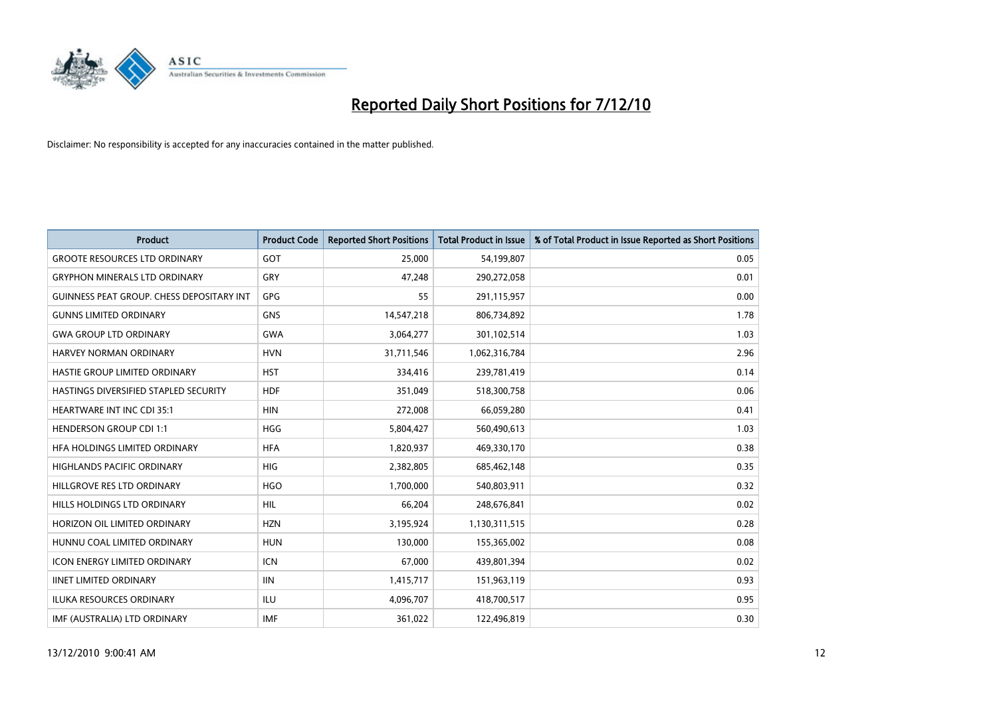

| <b>Product</b>                                   | <b>Product Code</b> | <b>Reported Short Positions</b> | <b>Total Product in Issue</b> | % of Total Product in Issue Reported as Short Positions |
|--------------------------------------------------|---------------------|---------------------------------|-------------------------------|---------------------------------------------------------|
| <b>GROOTE RESOURCES LTD ORDINARY</b>             | GOT                 | 25.000                          | 54,199,807                    | 0.05                                                    |
| <b>GRYPHON MINERALS LTD ORDINARY</b>             | GRY                 | 47,248                          | 290,272,058                   | 0.01                                                    |
| <b>GUINNESS PEAT GROUP. CHESS DEPOSITARY INT</b> | GPG                 | 55                              | 291,115,957                   | 0.00                                                    |
| <b>GUNNS LIMITED ORDINARY</b>                    | <b>GNS</b>          | 14,547,218                      | 806,734,892                   | 1.78                                                    |
| <b>GWA GROUP LTD ORDINARY</b>                    | <b>GWA</b>          | 3,064,277                       | 301,102,514                   | 1.03                                                    |
| <b>HARVEY NORMAN ORDINARY</b>                    | <b>HVN</b>          | 31,711,546                      | 1,062,316,784                 | 2.96                                                    |
| HASTIE GROUP LIMITED ORDINARY                    | <b>HST</b>          | 334,416                         | 239,781,419                   | 0.14                                                    |
| HASTINGS DIVERSIFIED STAPLED SECURITY            | <b>HDF</b>          | 351,049                         | 518,300,758                   | 0.06                                                    |
| <b>HEARTWARE INT INC CDI 35:1</b>                | <b>HIN</b>          | 272,008                         | 66,059,280                    | 0.41                                                    |
| <b>HENDERSON GROUP CDI 1:1</b>                   | <b>HGG</b>          | 5,804,427                       | 560,490,613                   | 1.03                                                    |
| HFA HOLDINGS LIMITED ORDINARY                    | <b>HFA</b>          | 1,820,937                       | 469,330,170                   | 0.38                                                    |
| HIGHLANDS PACIFIC ORDINARY                       | <b>HIG</b>          | 2,382,805                       | 685,462,148                   | 0.35                                                    |
| HILLGROVE RES LTD ORDINARY                       | <b>HGO</b>          | 1,700,000                       | 540,803,911                   | 0.32                                                    |
| HILLS HOLDINGS LTD ORDINARY                      | <b>HIL</b>          | 66,204                          | 248,676,841                   | 0.02                                                    |
| HORIZON OIL LIMITED ORDINARY                     | <b>HZN</b>          | 3,195,924                       | 1,130,311,515                 | 0.28                                                    |
| HUNNU COAL LIMITED ORDINARY                      | <b>HUN</b>          | 130,000                         | 155,365,002                   | 0.08                                                    |
| ICON ENERGY LIMITED ORDINARY                     | <b>ICN</b>          | 67,000                          | 439,801,394                   | 0.02                                                    |
| <b>IINET LIMITED ORDINARY</b>                    | <b>IIN</b>          | 1,415,717                       | 151,963,119                   | 0.93                                                    |
| ILUKA RESOURCES ORDINARY                         | ILU                 | 4,096,707                       | 418,700,517                   | 0.95                                                    |
| IMF (AUSTRALIA) LTD ORDINARY                     | <b>IMF</b>          | 361,022                         | 122,496,819                   | 0.30                                                    |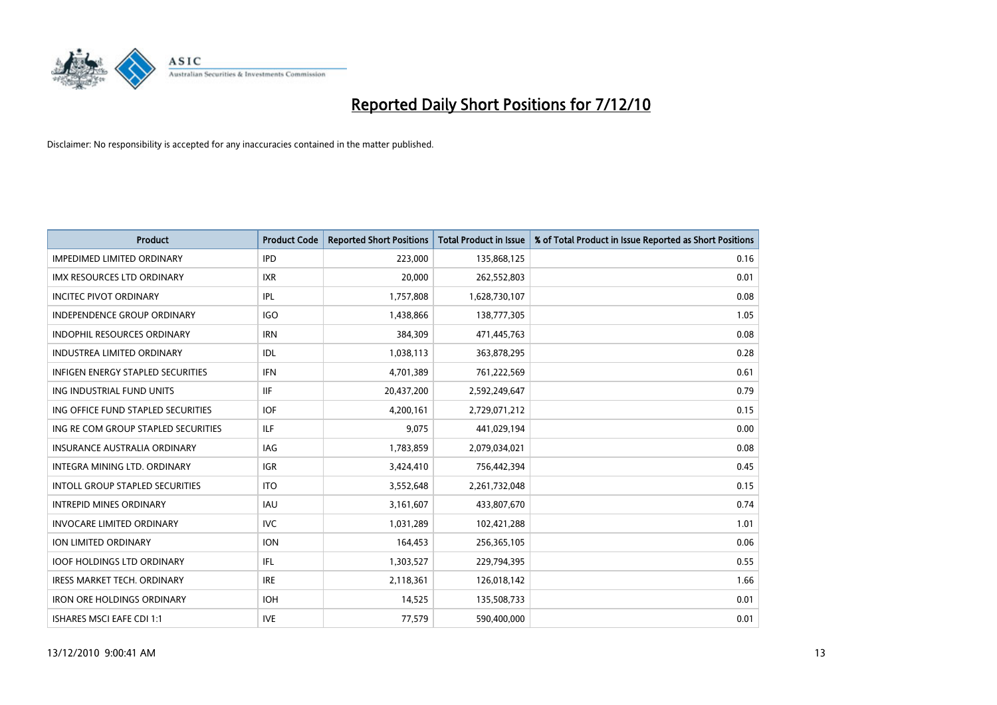

| <b>Product</b>                           | <b>Product Code</b> | <b>Reported Short Positions</b> | <b>Total Product in Issue</b> | % of Total Product in Issue Reported as Short Positions |
|------------------------------------------|---------------------|---------------------------------|-------------------------------|---------------------------------------------------------|
| <b>IMPEDIMED LIMITED ORDINARY</b>        | <b>IPD</b>          | 223,000                         | 135,868,125                   | 0.16                                                    |
| <b>IMX RESOURCES LTD ORDINARY</b>        | <b>IXR</b>          | 20.000                          | 262,552,803                   | 0.01                                                    |
| <b>INCITEC PIVOT ORDINARY</b>            | IPL                 | 1,757,808                       | 1,628,730,107                 | 0.08                                                    |
| INDEPENDENCE GROUP ORDINARY              | <b>IGO</b>          | 1,438,866                       | 138,777,305                   | 1.05                                                    |
| <b>INDOPHIL RESOURCES ORDINARY</b>       | <b>IRN</b>          | 384.309                         | 471,445,763                   | 0.08                                                    |
| <b>INDUSTREA LIMITED ORDINARY</b>        | IDL                 | 1,038,113                       | 363,878,295                   | 0.28                                                    |
| <b>INFIGEN ENERGY STAPLED SECURITIES</b> | <b>IFN</b>          | 4,701,389                       | 761,222,569                   | 0.61                                                    |
| ING INDUSTRIAL FUND UNITS                | <b>IIF</b>          | 20,437,200                      | 2,592,249,647                 | 0.79                                                    |
| ING OFFICE FUND STAPLED SECURITIES       | <b>IOF</b>          | 4,200,161                       | 2,729,071,212                 | 0.15                                                    |
| ING RE COM GROUP STAPLED SECURITIES      | <b>ILF</b>          | 9.075                           | 441,029,194                   | 0.00                                                    |
| <b>INSURANCE AUSTRALIA ORDINARY</b>      | <b>IAG</b>          | 1,783,859                       | 2,079,034,021                 | 0.08                                                    |
| INTEGRA MINING LTD, ORDINARY             | <b>IGR</b>          | 3,424,410                       | 756,442,394                   | 0.45                                                    |
| <b>INTOLL GROUP STAPLED SECURITIES</b>   | <b>ITO</b>          | 3,552,648                       | 2,261,732,048                 | 0.15                                                    |
| <b>INTREPID MINES ORDINARY</b>           | <b>IAU</b>          | 3,161,607                       | 433,807,670                   | 0.74                                                    |
| <b>INVOCARE LIMITED ORDINARY</b>         | <b>IVC</b>          | 1,031,289                       | 102,421,288                   | 1.01                                                    |
| <b>ION LIMITED ORDINARY</b>              | <b>ION</b>          | 164,453                         | 256,365,105                   | 0.06                                                    |
| <b>IOOF HOLDINGS LTD ORDINARY</b>        | IFL                 | 1,303,527                       | 229,794,395                   | 0.55                                                    |
| IRESS MARKET TECH. ORDINARY              | <b>IRE</b>          | 2,118,361                       | 126,018,142                   | 1.66                                                    |
| <b>IRON ORE HOLDINGS ORDINARY</b>        | <b>IOH</b>          | 14,525                          | 135,508,733                   | 0.01                                                    |
| <b>ISHARES MSCI EAFE CDI 1:1</b>         | <b>IVE</b>          | 77,579                          | 590,400,000                   | 0.01                                                    |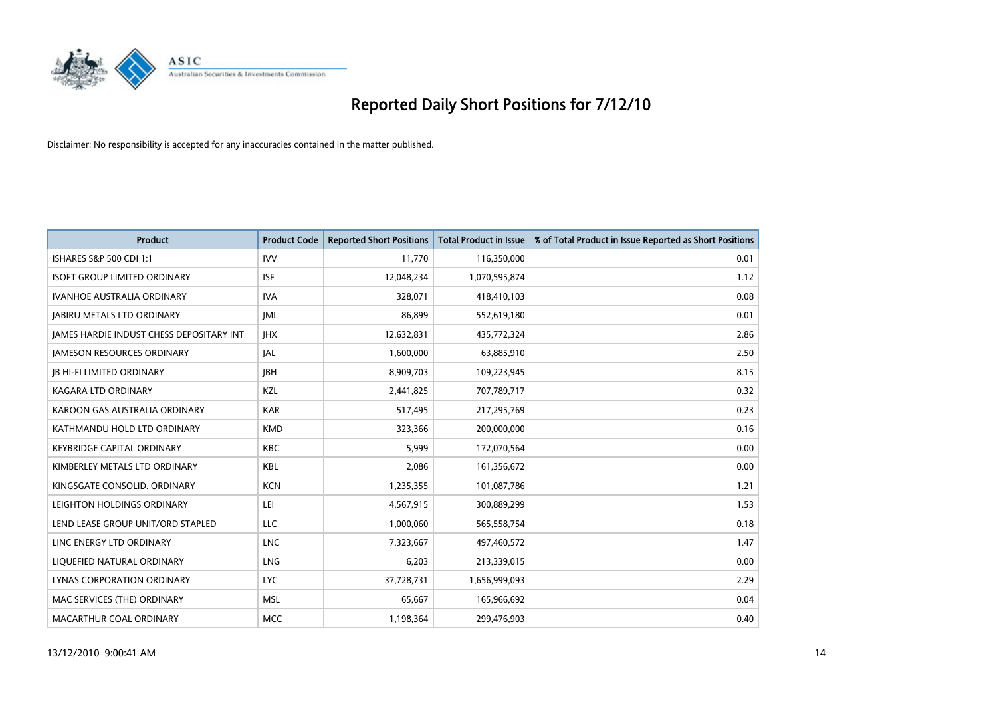

| <b>Product</b>                                  | <b>Product Code</b> | <b>Reported Short Positions</b> | <b>Total Product in Issue</b> | % of Total Product in Issue Reported as Short Positions |
|-------------------------------------------------|---------------------|---------------------------------|-------------------------------|---------------------------------------------------------|
| ISHARES S&P 500 CDI 1:1                         | <b>IVV</b>          | 11,770                          | 116,350,000                   | 0.01                                                    |
| <b>ISOFT GROUP LIMITED ORDINARY</b>             | <b>ISF</b>          | 12,048,234                      | 1,070,595,874                 | 1.12                                                    |
| <b>IVANHOE AUSTRALIA ORDINARY</b>               | <b>IVA</b>          | 328,071                         | 418,410,103                   | 0.08                                                    |
| <b>JABIRU METALS LTD ORDINARY</b>               | <b>JML</b>          | 86,899                          | 552,619,180                   | 0.01                                                    |
| <b>JAMES HARDIE INDUST CHESS DEPOSITARY INT</b> | <b>IHX</b>          | 12,632,831                      | 435,772,324                   | 2.86                                                    |
| <b>JAMESON RESOURCES ORDINARY</b>               | <b>JAL</b>          | 1,600,000                       | 63,885,910                    | 2.50                                                    |
| <b>JB HI-FI LIMITED ORDINARY</b>                | <b>JBH</b>          | 8,909,703                       | 109,223,945                   | 8.15                                                    |
| KAGARA LTD ORDINARY                             | KZL                 | 2,441,825                       | 707,789,717                   | 0.32                                                    |
| KAROON GAS AUSTRALIA ORDINARY                   | <b>KAR</b>          | 517,495                         | 217,295,769                   | 0.23                                                    |
| KATHMANDU HOLD LTD ORDINARY                     | <b>KMD</b>          | 323,366                         | 200,000,000                   | 0.16                                                    |
| KEYBRIDGE CAPITAL ORDINARY                      | <b>KBC</b>          | 5,999                           | 172,070,564                   | 0.00                                                    |
| KIMBERLEY METALS LTD ORDINARY                   | <b>KBL</b>          | 2,086                           | 161,356,672                   | 0.00                                                    |
| KINGSGATE CONSOLID, ORDINARY                    | <b>KCN</b>          | 1,235,355                       | 101,087,786                   | 1.21                                                    |
| LEIGHTON HOLDINGS ORDINARY                      | LEI                 | 4,567,915                       | 300,889,299                   | 1.53                                                    |
| LEND LEASE GROUP UNIT/ORD STAPLED               | <b>LLC</b>          | 1,000,060                       | 565,558,754                   | 0.18                                                    |
| LINC ENERGY LTD ORDINARY                        | <b>LNC</b>          | 7,323,667                       | 497,460,572                   | 1.47                                                    |
| LIQUEFIED NATURAL ORDINARY                      | <b>LNG</b>          | 6,203                           | 213,339,015                   | 0.00                                                    |
| LYNAS CORPORATION ORDINARY                      | <b>LYC</b>          | 37,728,731                      | 1,656,999,093                 | 2.29                                                    |
| MAC SERVICES (THE) ORDINARY                     | <b>MSL</b>          | 65,667                          | 165,966,692                   | 0.04                                                    |
| MACARTHUR COAL ORDINARY                         | <b>MCC</b>          | 1,198,364                       | 299,476,903                   | 0.40                                                    |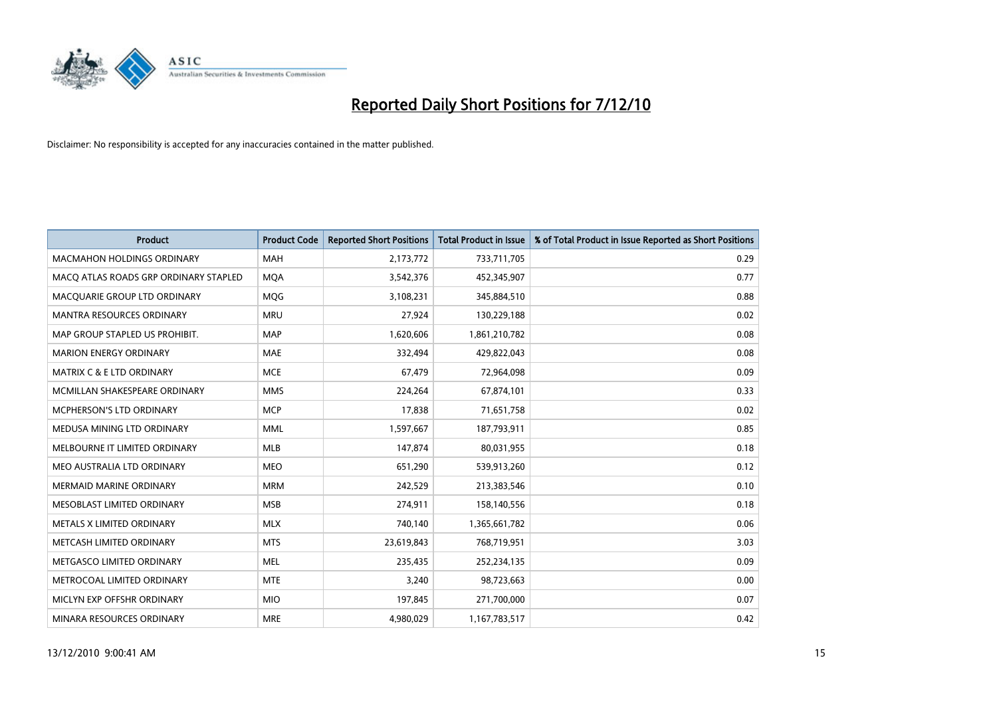

| <b>Product</b>                        | <b>Product Code</b> | <b>Reported Short Positions</b> | Total Product in Issue | % of Total Product in Issue Reported as Short Positions |
|---------------------------------------|---------------------|---------------------------------|------------------------|---------------------------------------------------------|
| <b>MACMAHON HOLDINGS ORDINARY</b>     | <b>MAH</b>          | 2,173,772                       | 733,711,705            | 0.29                                                    |
| MACQ ATLAS ROADS GRP ORDINARY STAPLED | <b>MOA</b>          | 3,542,376                       | 452,345,907            | 0.77                                                    |
| MACQUARIE GROUP LTD ORDINARY          | MQG                 | 3,108,231                       | 345,884,510            | 0.88                                                    |
| <b>MANTRA RESOURCES ORDINARY</b>      | <b>MRU</b>          | 27,924                          | 130,229,188            | 0.02                                                    |
| MAP GROUP STAPLED US PROHIBIT.        | <b>MAP</b>          | 1,620,606                       | 1,861,210,782          | 0.08                                                    |
| <b>MARION ENERGY ORDINARY</b>         | <b>MAE</b>          | 332,494                         | 429,822,043            | 0.08                                                    |
| <b>MATRIX C &amp; E LTD ORDINARY</b>  | <b>MCE</b>          | 67,479                          | 72,964,098             | 0.09                                                    |
| MCMILLAN SHAKESPEARE ORDINARY         | <b>MMS</b>          | 224,264                         | 67,874,101             | 0.33                                                    |
| MCPHERSON'S LTD ORDINARY              | <b>MCP</b>          | 17,838                          | 71,651,758             | 0.02                                                    |
| MEDUSA MINING LTD ORDINARY            | <b>MML</b>          | 1,597,667                       | 187,793,911            | 0.85                                                    |
| MELBOURNE IT LIMITED ORDINARY         | <b>MLB</b>          | 147,874                         | 80,031,955             | 0.18                                                    |
| MEO AUSTRALIA LTD ORDINARY            | <b>MEO</b>          | 651,290                         | 539,913,260            | 0.12                                                    |
| <b>MERMAID MARINE ORDINARY</b>        | <b>MRM</b>          | 242,529                         | 213,383,546            | 0.10                                                    |
| MESOBLAST LIMITED ORDINARY            | <b>MSB</b>          | 274.911                         | 158,140,556            | 0.18                                                    |
| METALS X LIMITED ORDINARY             | <b>MLX</b>          | 740,140                         | 1,365,661,782          | 0.06                                                    |
| METCASH LIMITED ORDINARY              | <b>MTS</b>          | 23,619,843                      | 768,719,951            | 3.03                                                    |
| METGASCO LIMITED ORDINARY             | <b>MEL</b>          | 235,435                         | 252,234,135            | 0.09                                                    |
| METROCOAL LIMITED ORDINARY            | <b>MTE</b>          | 3,240                           | 98,723,663             | 0.00                                                    |
| MICLYN EXP OFFSHR ORDINARY            | <b>MIO</b>          | 197,845                         | 271,700,000            | 0.07                                                    |
| MINARA RESOURCES ORDINARY             | <b>MRE</b>          | 4,980,029                       | 1,167,783,517          | 0.42                                                    |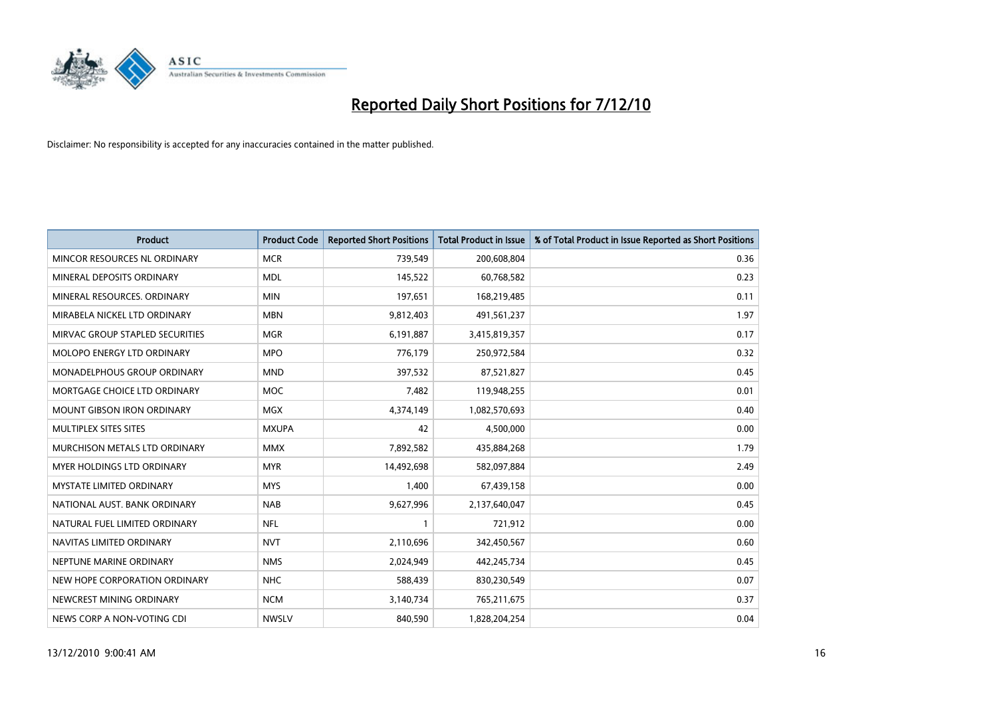

| <b>Product</b>                    | <b>Product Code</b> | <b>Reported Short Positions</b> | <b>Total Product in Issue</b> | % of Total Product in Issue Reported as Short Positions |
|-----------------------------------|---------------------|---------------------------------|-------------------------------|---------------------------------------------------------|
| MINCOR RESOURCES NL ORDINARY      | <b>MCR</b>          | 739,549                         | 200,608,804                   | 0.36                                                    |
| MINERAL DEPOSITS ORDINARY         | <b>MDL</b>          | 145,522                         | 60,768,582                    | 0.23                                                    |
| MINERAL RESOURCES, ORDINARY       | <b>MIN</b>          | 197,651                         | 168,219,485                   | 0.11                                                    |
| MIRABELA NICKEL LTD ORDINARY      | <b>MBN</b>          | 9,812,403                       | 491,561,237                   | 1.97                                                    |
| MIRVAC GROUP STAPLED SECURITIES   | <b>MGR</b>          | 6,191,887                       | 3,415,819,357                 | 0.17                                                    |
| MOLOPO ENERGY LTD ORDINARY        | <b>MPO</b>          | 776,179                         | 250,972,584                   | 0.32                                                    |
| MONADELPHOUS GROUP ORDINARY       | <b>MND</b>          | 397,532                         | 87,521,827                    | 0.45                                                    |
| MORTGAGE CHOICE LTD ORDINARY      | <b>MOC</b>          | 7,482                           | 119,948,255                   | 0.01                                                    |
| MOUNT GIBSON IRON ORDINARY        | <b>MGX</b>          | 4,374,149                       | 1,082,570,693                 | 0.40                                                    |
| MULTIPLEX SITES SITES             | <b>MXUPA</b>        | 42                              | 4,500,000                     | 0.00                                                    |
| MURCHISON METALS LTD ORDINARY     | <b>MMX</b>          | 7,892,582                       | 435,884,268                   | 1.79                                                    |
| <b>MYER HOLDINGS LTD ORDINARY</b> | <b>MYR</b>          | 14,492,698                      | 582,097,884                   | 2.49                                                    |
| <b>MYSTATE LIMITED ORDINARY</b>   | <b>MYS</b>          | 1,400                           | 67,439,158                    | 0.00                                                    |
| NATIONAL AUST. BANK ORDINARY      | <b>NAB</b>          | 9,627,996                       | 2,137,640,047                 | 0.45                                                    |
| NATURAL FUEL LIMITED ORDINARY     | <b>NFL</b>          |                                 | 721,912                       | 0.00                                                    |
| NAVITAS LIMITED ORDINARY          | <b>NVT</b>          | 2,110,696                       | 342,450,567                   | 0.60                                                    |
| NEPTUNE MARINE ORDINARY           | <b>NMS</b>          | 2,024,949                       | 442,245,734                   | 0.45                                                    |
| NEW HOPE CORPORATION ORDINARY     | <b>NHC</b>          | 588,439                         | 830,230,549                   | 0.07                                                    |
| NEWCREST MINING ORDINARY          | <b>NCM</b>          | 3,140,734                       | 765,211,675                   | 0.37                                                    |
| NEWS CORP A NON-VOTING CDI        | <b>NWSLV</b>        | 840.590                         | 1.828.204.254                 | 0.04                                                    |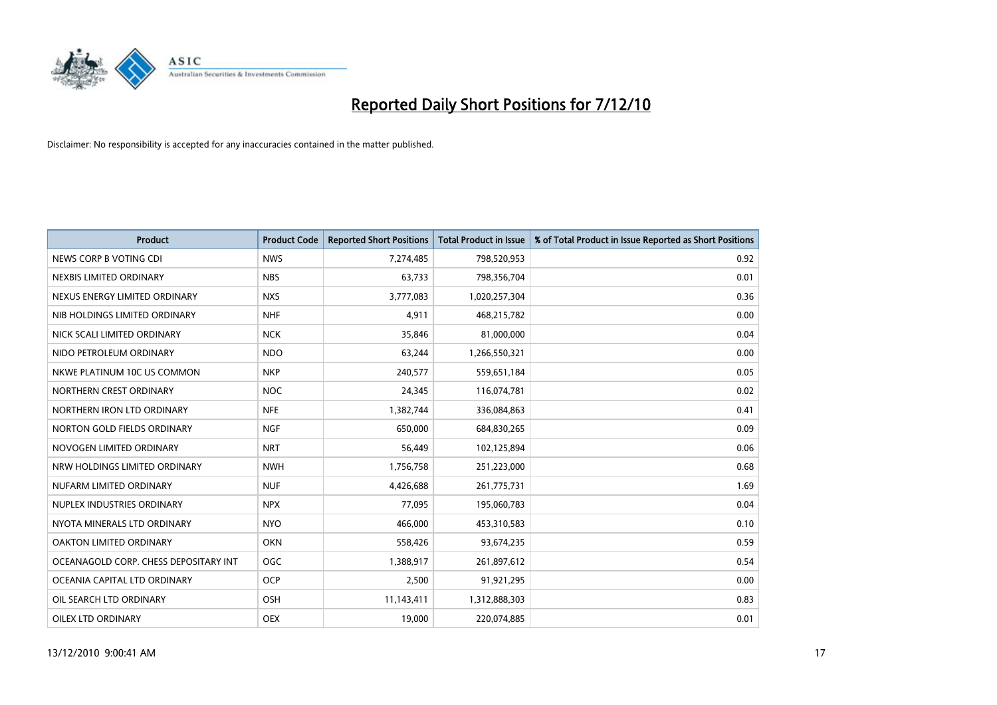

| <b>Product</b>                        | <b>Product Code</b> | <b>Reported Short Positions</b> | Total Product in Issue | % of Total Product in Issue Reported as Short Positions |
|---------------------------------------|---------------------|---------------------------------|------------------------|---------------------------------------------------------|
| NEWS CORP B VOTING CDI                | <b>NWS</b>          | 7,274,485                       | 798,520,953            | 0.92                                                    |
| NEXBIS LIMITED ORDINARY               | <b>NBS</b>          | 63,733                          | 798,356,704            | 0.01                                                    |
| NEXUS ENERGY LIMITED ORDINARY         | <b>NXS</b>          | 3,777,083                       | 1,020,257,304          | 0.36                                                    |
| NIB HOLDINGS LIMITED ORDINARY         | <b>NHF</b>          | 4,911                           | 468,215,782            | 0.00                                                    |
| NICK SCALI LIMITED ORDINARY           | <b>NCK</b>          | 35,846                          | 81,000,000             | 0.04                                                    |
| NIDO PETROLEUM ORDINARY               | <b>NDO</b>          | 63,244                          | 1,266,550,321          | 0.00                                                    |
| NKWE PLATINUM 10C US COMMON           | <b>NKP</b>          | 240,577                         | 559,651,184            | 0.05                                                    |
| NORTHERN CREST ORDINARY               | <b>NOC</b>          | 24,345                          | 116,074,781            | 0.02                                                    |
| NORTHERN IRON LTD ORDINARY            | <b>NFE</b>          | 1,382,744                       | 336,084,863            | 0.41                                                    |
| NORTON GOLD FIELDS ORDINARY           | <b>NGF</b>          | 650,000                         | 684,830,265            | 0.09                                                    |
| NOVOGEN LIMITED ORDINARY              | <b>NRT</b>          | 56,449                          | 102,125,894            | 0.06                                                    |
| NRW HOLDINGS LIMITED ORDINARY         | <b>NWH</b>          | 1,756,758                       | 251,223,000            | 0.68                                                    |
| NUFARM LIMITED ORDINARY               | <b>NUF</b>          | 4.426.688                       | 261,775,731            | 1.69                                                    |
| NUPLEX INDUSTRIES ORDINARY            | <b>NPX</b>          | 77,095                          | 195,060,783            | 0.04                                                    |
| NYOTA MINERALS LTD ORDINARY           | <b>NYO</b>          | 466,000                         | 453,310,583            | 0.10                                                    |
| OAKTON LIMITED ORDINARY               | <b>OKN</b>          | 558,426                         | 93,674,235             | 0.59                                                    |
| OCEANAGOLD CORP. CHESS DEPOSITARY INT | OGC                 | 1,388,917                       | 261,897,612            | 0.54                                                    |
| OCEANIA CAPITAL LTD ORDINARY          | <b>OCP</b>          | 2,500                           | 91,921,295             | 0.00                                                    |
| OIL SEARCH LTD ORDINARY               | OSH                 | 11,143,411                      | 1,312,888,303          | 0.83                                                    |
| OILEX LTD ORDINARY                    | OEX                 | 19,000                          | 220,074,885            | 0.01                                                    |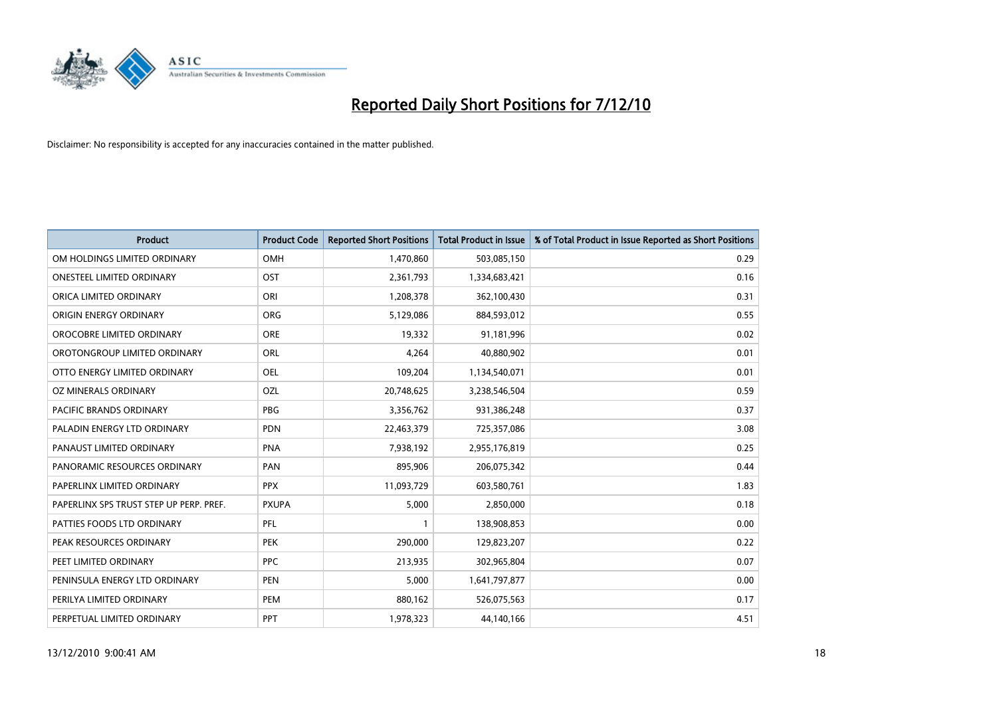

| <b>Product</b>                          | <b>Product Code</b> | <b>Reported Short Positions</b> | <b>Total Product in Issue</b> | % of Total Product in Issue Reported as Short Positions |
|-----------------------------------------|---------------------|---------------------------------|-------------------------------|---------------------------------------------------------|
| OM HOLDINGS LIMITED ORDINARY            | OMH                 | 1,470,860                       | 503,085,150                   | 0.29                                                    |
| <b>ONESTEEL LIMITED ORDINARY</b>        | OST                 | 2,361,793                       | 1,334,683,421                 | 0.16                                                    |
| ORICA LIMITED ORDINARY                  | ORI                 | 1,208,378                       | 362,100,430                   | 0.31                                                    |
| ORIGIN ENERGY ORDINARY                  | <b>ORG</b>          | 5,129,086                       | 884,593,012                   | 0.55                                                    |
| OROCOBRE LIMITED ORDINARY               | <b>ORE</b>          | 19,332                          | 91,181,996                    | 0.02                                                    |
| OROTONGROUP LIMITED ORDINARY            | <b>ORL</b>          | 4,264                           | 40,880,902                    | 0.01                                                    |
| OTTO ENERGY LIMITED ORDINARY            | <b>OEL</b>          | 109,204                         | 1,134,540,071                 | 0.01                                                    |
| OZ MINERALS ORDINARY                    | OZL                 | 20,748,625                      | 3,238,546,504                 | 0.59                                                    |
| PACIFIC BRANDS ORDINARY                 | <b>PBG</b>          | 3,356,762                       | 931,386,248                   | 0.37                                                    |
| PALADIN ENERGY LTD ORDINARY             | <b>PDN</b>          | 22,463,379                      | 725,357,086                   | 3.08                                                    |
| PANAUST LIMITED ORDINARY                | <b>PNA</b>          | 7,938,192                       | 2,955,176,819                 | 0.25                                                    |
| PANORAMIC RESOURCES ORDINARY            | PAN                 | 895,906                         | 206,075,342                   | 0.44                                                    |
| PAPERLINX LIMITED ORDINARY              | <b>PPX</b>          | 11,093,729                      | 603,580,761                   | 1.83                                                    |
| PAPERLINX SPS TRUST STEP UP PERP. PREF. | <b>PXUPA</b>        | 5,000                           | 2,850,000                     | 0.18                                                    |
| PATTIES FOODS LTD ORDINARY              | PFL                 |                                 | 138,908,853                   | 0.00                                                    |
| PEAK RESOURCES ORDINARY                 | <b>PEK</b>          | 290,000                         | 129,823,207                   | 0.22                                                    |
| PEET LIMITED ORDINARY                   | <b>PPC</b>          | 213,935                         | 302,965,804                   | 0.07                                                    |
| PENINSULA ENERGY LTD ORDINARY           | <b>PEN</b>          | 5,000                           | 1,641,797,877                 | 0.00                                                    |
| PERILYA LIMITED ORDINARY                | PEM                 | 880,162                         | 526,075,563                   | 0.17                                                    |
| PERPETUAL LIMITED ORDINARY              | PPT                 | 1,978,323                       | 44,140,166                    | 4.51                                                    |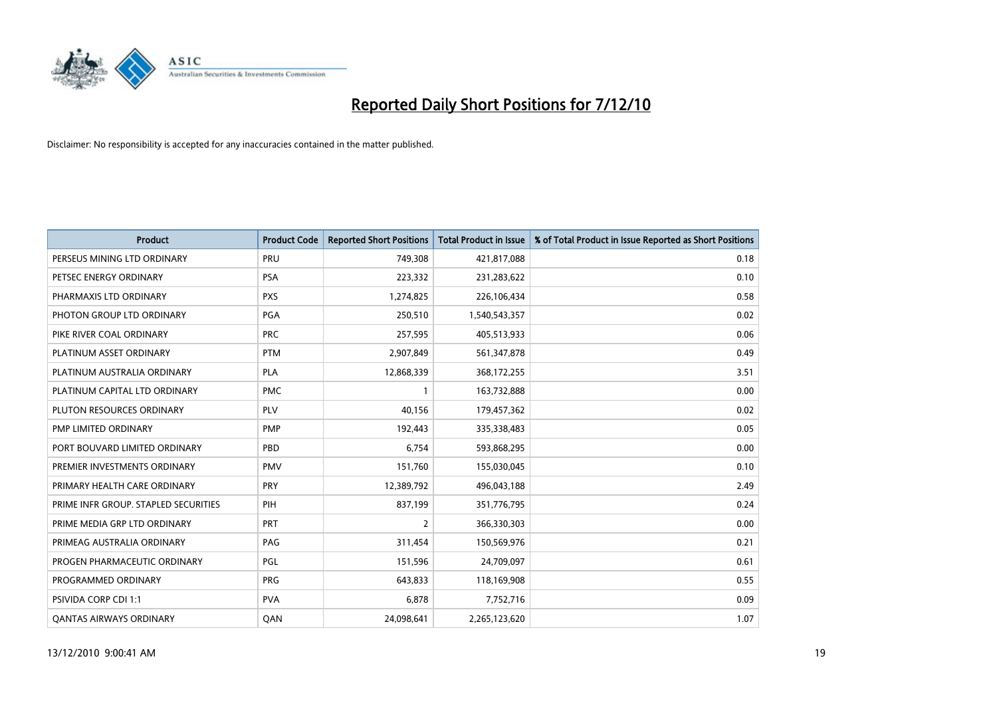

| <b>Product</b>                       | <b>Product Code</b> | <b>Reported Short Positions</b> | <b>Total Product in Issue</b> | % of Total Product in Issue Reported as Short Positions |
|--------------------------------------|---------------------|---------------------------------|-------------------------------|---------------------------------------------------------|
| PERSEUS MINING LTD ORDINARY          | PRU                 | 749,308                         | 421,817,088                   | 0.18                                                    |
| PETSEC ENERGY ORDINARY               | <b>PSA</b>          | 223,332                         | 231,283,622                   | 0.10                                                    |
| PHARMAXIS LTD ORDINARY               | <b>PXS</b>          | 1,274,825                       | 226,106,434                   | 0.58                                                    |
| PHOTON GROUP LTD ORDINARY            | <b>PGA</b>          | 250,510                         | 1,540,543,357                 | 0.02                                                    |
| PIKE RIVER COAL ORDINARY             | <b>PRC</b>          | 257,595                         | 405,513,933                   | 0.06                                                    |
| PLATINUM ASSET ORDINARY              | <b>PTM</b>          | 2,907,849                       | 561,347,878                   | 0.49                                                    |
| PLATINUM AUSTRALIA ORDINARY          | <b>PLA</b>          | 12,868,339                      | 368,172,255                   | 3.51                                                    |
| PLATINUM CAPITAL LTD ORDINARY        | <b>PMC</b>          |                                 | 163,732,888                   | 0.00                                                    |
| PLUTON RESOURCES ORDINARY            | PLV                 | 40,156                          | 179,457,362                   | 0.02                                                    |
| PMP LIMITED ORDINARY                 | <b>PMP</b>          | 192,443                         | 335,338,483                   | 0.05                                                    |
| PORT BOUVARD LIMITED ORDINARY        | PBD                 | 6,754                           | 593,868,295                   | 0.00                                                    |
| PREMIER INVESTMENTS ORDINARY         | <b>PMV</b>          | 151,760                         | 155,030,045                   | 0.10                                                    |
| PRIMARY HEALTH CARE ORDINARY         | PRY                 | 12,389,792                      | 496,043,188                   | 2.49                                                    |
| PRIME INFR GROUP. STAPLED SECURITIES | PIH                 | 837,199                         | 351,776,795                   | 0.24                                                    |
| PRIME MEDIA GRP LTD ORDINARY         | PRT                 | $\overline{2}$                  | 366,330,303                   | 0.00                                                    |
| PRIMEAG AUSTRALIA ORDINARY           | PAG                 | 311,454                         | 150,569,976                   | 0.21                                                    |
| PROGEN PHARMACEUTIC ORDINARY         | <b>PGL</b>          | 151,596                         | 24,709,097                    | 0.61                                                    |
| PROGRAMMED ORDINARY                  | <b>PRG</b>          | 643,833                         | 118,169,908                   | 0.55                                                    |
| PSIVIDA CORP CDI 1:1                 | <b>PVA</b>          | 6.878                           | 7,752,716                     | 0.09                                                    |
| <b>OANTAS AIRWAYS ORDINARY</b>       | QAN                 | 24,098,641                      | 2,265,123,620                 | 1.07                                                    |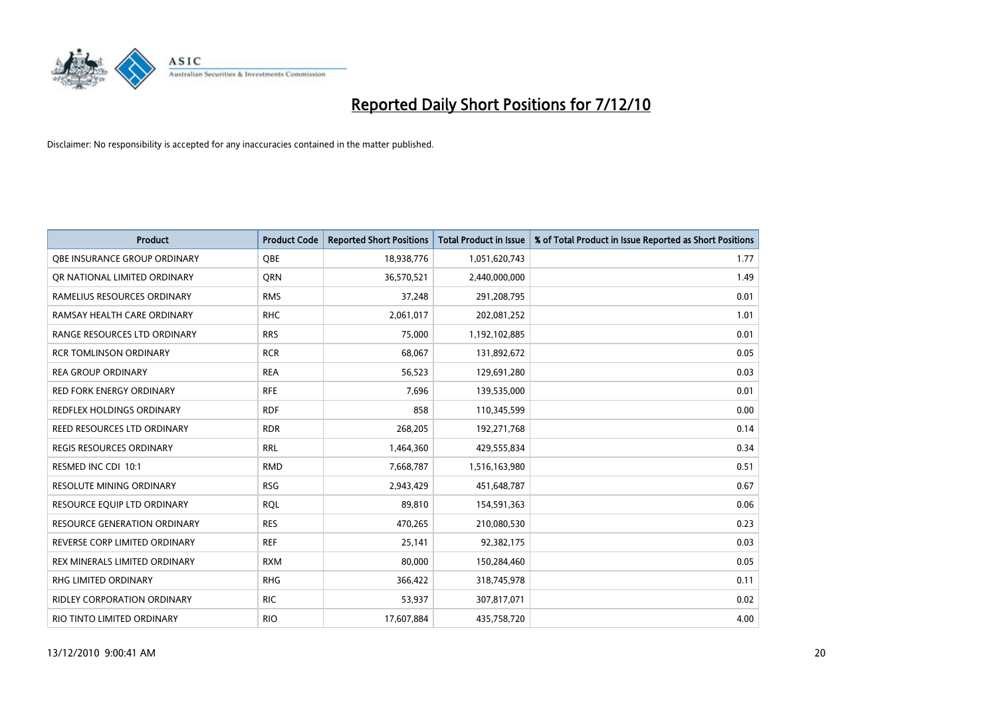

| <b>Product</b>                      | <b>Product Code</b> | <b>Reported Short Positions</b> | Total Product in Issue | % of Total Product in Issue Reported as Short Positions |
|-------------------------------------|---------------------|---------------------------------|------------------------|---------------------------------------------------------|
| <b>QBE INSURANCE GROUP ORDINARY</b> | <b>OBE</b>          | 18,938,776                      | 1,051,620,743          | 1.77                                                    |
| OR NATIONAL LIMITED ORDINARY        | <b>ORN</b>          | 36,570,521                      | 2,440,000,000          | 1.49                                                    |
| RAMELIUS RESOURCES ORDINARY         | <b>RMS</b>          | 37,248                          | 291,208,795            | 0.01                                                    |
| RAMSAY HEALTH CARE ORDINARY         | <b>RHC</b>          | 2,061,017                       | 202,081,252            | 1.01                                                    |
| RANGE RESOURCES LTD ORDINARY        | <b>RRS</b>          | 75,000                          | 1,192,102,885          | 0.01                                                    |
| <b>RCR TOMLINSON ORDINARY</b>       | <b>RCR</b>          | 68,067                          | 131,892,672            | 0.05                                                    |
| <b>REA GROUP ORDINARY</b>           | <b>REA</b>          | 56,523                          | 129,691,280            | 0.03                                                    |
| RED FORK ENERGY ORDINARY            | <b>RFE</b>          | 7,696                           | 139,535,000            | 0.01                                                    |
| REDFLEX HOLDINGS ORDINARY           | <b>RDF</b>          | 858                             | 110,345,599            | 0.00                                                    |
| REED RESOURCES LTD ORDINARY         | <b>RDR</b>          | 268,205                         | 192,271,768            | 0.14                                                    |
| REGIS RESOURCES ORDINARY            | <b>RRL</b>          | 1,464,360                       | 429,555,834            | 0.34                                                    |
| RESMED INC CDI 10:1                 | <b>RMD</b>          | 7,668,787                       | 1,516,163,980          | 0.51                                                    |
| <b>RESOLUTE MINING ORDINARY</b>     | <b>RSG</b>          | 2,943,429                       | 451,648,787            | 0.67                                                    |
| RESOURCE EQUIP LTD ORDINARY         | <b>RQL</b>          | 89,810                          | 154,591,363            | 0.06                                                    |
| RESOURCE GENERATION ORDINARY        | <b>RES</b>          | 470,265                         | 210,080,530            | 0.23                                                    |
| REVERSE CORP LIMITED ORDINARY       | <b>REF</b>          | 25,141                          | 92,382,175             | 0.03                                                    |
| REX MINERALS LIMITED ORDINARY       | <b>RXM</b>          | 80,000                          | 150,284,460            | 0.05                                                    |
| RHG LIMITED ORDINARY                | <b>RHG</b>          | 366,422                         | 318,745,978            | 0.11                                                    |
| <b>RIDLEY CORPORATION ORDINARY</b>  | <b>RIC</b>          | 53,937                          | 307,817,071            | 0.02                                                    |
| RIO TINTO LIMITED ORDINARY          | <b>RIO</b>          | 17,607,884                      | 435,758,720            | 4.00                                                    |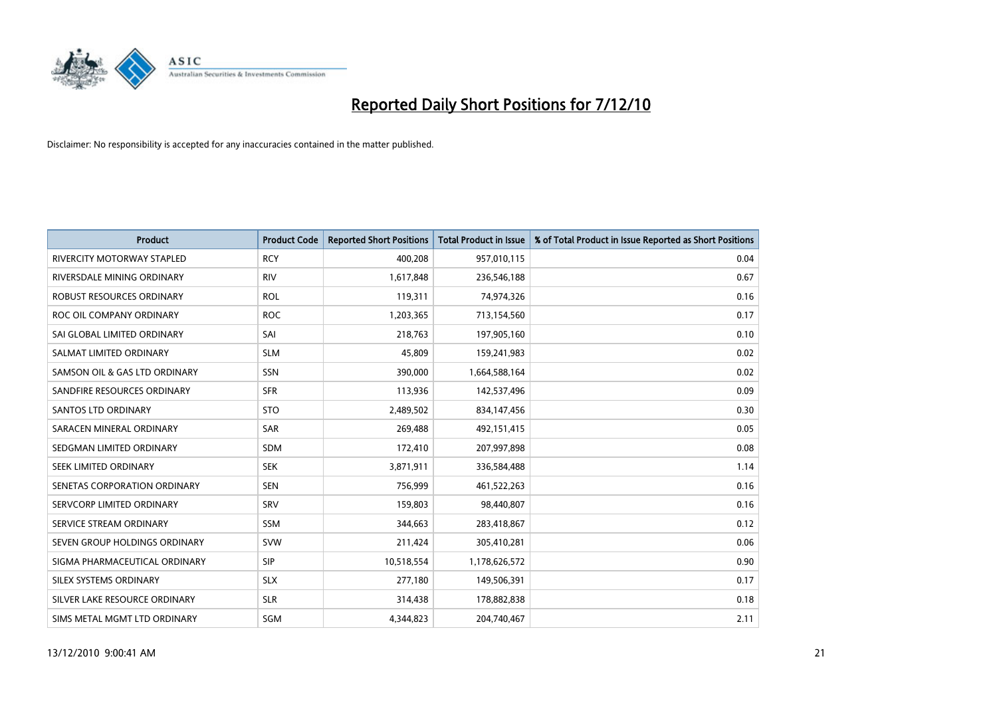

| <b>Product</b>                    | <b>Product Code</b> | <b>Reported Short Positions</b> | <b>Total Product in Issue</b> | % of Total Product in Issue Reported as Short Positions |
|-----------------------------------|---------------------|---------------------------------|-------------------------------|---------------------------------------------------------|
| <b>RIVERCITY MOTORWAY STAPLED</b> | <b>RCY</b>          | 400,208                         | 957,010,115                   | 0.04                                                    |
| RIVERSDALE MINING ORDINARY        | <b>RIV</b>          | 1,617,848                       | 236,546,188                   | 0.67                                                    |
| ROBUST RESOURCES ORDINARY         | <b>ROL</b>          | 119,311                         | 74,974,326                    | 0.16                                                    |
| ROC OIL COMPANY ORDINARY          | <b>ROC</b>          | 1,203,365                       | 713,154,560                   | 0.17                                                    |
| SAI GLOBAL LIMITED ORDINARY       | SAI                 | 218,763                         | 197,905,160                   | 0.10                                                    |
| SALMAT LIMITED ORDINARY           | <b>SLM</b>          | 45.809                          | 159,241,983                   | 0.02                                                    |
| SAMSON OIL & GAS LTD ORDINARY     | SSN                 | 390,000                         | 1,664,588,164                 | 0.02                                                    |
| SANDFIRE RESOURCES ORDINARY       | <b>SFR</b>          | 113,936                         | 142,537,496                   | 0.09                                                    |
| SANTOS LTD ORDINARY               | <b>STO</b>          | 2,489,502                       | 834,147,456                   | 0.30                                                    |
| SARACEN MINERAL ORDINARY          | SAR                 | 269,488                         | 492,151,415                   | 0.05                                                    |
| SEDGMAN LIMITED ORDINARY          | <b>SDM</b>          | 172,410                         | 207,997,898                   | 0.08                                                    |
| SEEK LIMITED ORDINARY             | <b>SEK</b>          | 3,871,911                       | 336,584,488                   | 1.14                                                    |
| SENETAS CORPORATION ORDINARY      | <b>SEN</b>          | 756,999                         | 461,522,263                   | 0.16                                                    |
| SERVCORP LIMITED ORDINARY         | SRV                 | 159,803                         | 98,440,807                    | 0.16                                                    |
| SERVICE STREAM ORDINARY           | <b>SSM</b>          | 344,663                         | 283,418,867                   | 0.12                                                    |
| SEVEN GROUP HOLDINGS ORDINARY     | <b>SVW</b>          | 211,424                         | 305,410,281                   | 0.06                                                    |
| SIGMA PHARMACEUTICAL ORDINARY     | SIP                 | 10,518,554                      | 1,178,626,572                 | 0.90                                                    |
| SILEX SYSTEMS ORDINARY            | <b>SLX</b>          | 277,180                         | 149,506,391                   | 0.17                                                    |
| SILVER LAKE RESOURCE ORDINARY     | <b>SLR</b>          | 314,438                         | 178,882,838                   | 0.18                                                    |
| SIMS METAL MGMT LTD ORDINARY      | SGM                 | 4,344,823                       | 204,740,467                   | 2.11                                                    |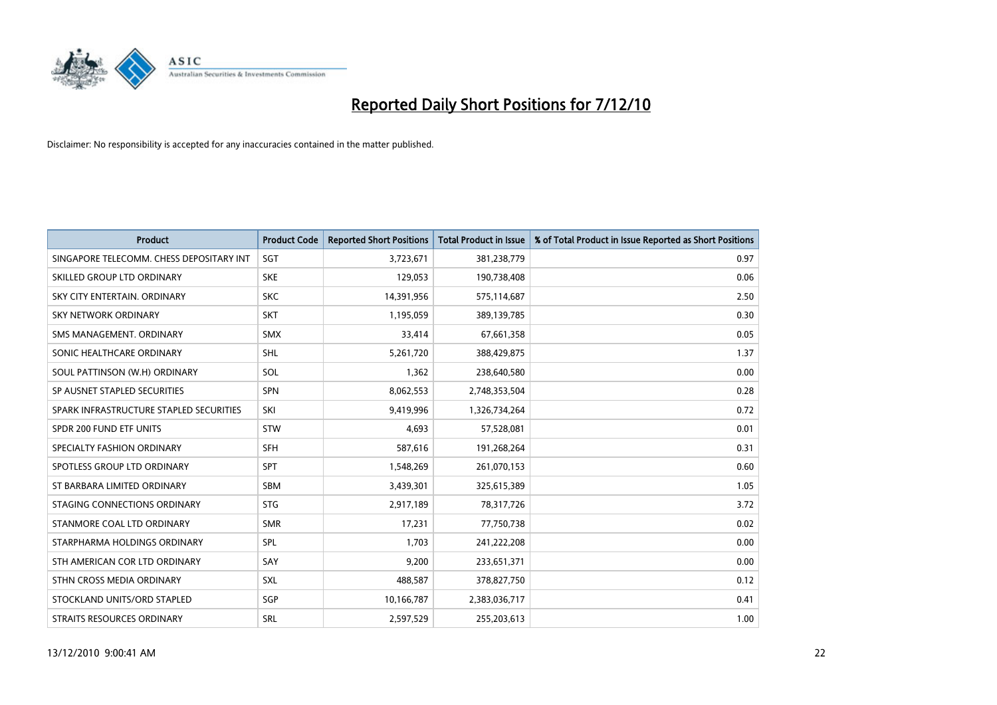

| <b>Product</b>                           | <b>Product Code</b> | <b>Reported Short Positions</b> | Total Product in Issue | % of Total Product in Issue Reported as Short Positions |
|------------------------------------------|---------------------|---------------------------------|------------------------|---------------------------------------------------------|
| SINGAPORE TELECOMM. CHESS DEPOSITARY INT | SGT                 | 3,723,671                       | 381,238,779            | 0.97                                                    |
| SKILLED GROUP LTD ORDINARY               | <b>SKE</b>          | 129,053                         | 190,738,408            | 0.06                                                    |
| SKY CITY ENTERTAIN, ORDINARY             | <b>SKC</b>          | 14,391,956                      | 575,114,687            | 2.50                                                    |
| SKY NETWORK ORDINARY                     | <b>SKT</b>          | 1,195,059                       | 389,139,785            | 0.30                                                    |
| SMS MANAGEMENT, ORDINARY                 | <b>SMX</b>          | 33,414                          | 67,661,358             | 0.05                                                    |
| SONIC HEALTHCARE ORDINARY                | <b>SHL</b>          | 5,261,720                       | 388,429,875            | 1.37                                                    |
| SOUL PATTINSON (W.H) ORDINARY            | SOL                 | 1,362                           | 238,640,580            | 0.00                                                    |
| SP AUSNET STAPLED SECURITIES             | <b>SPN</b>          | 8,062,553                       | 2,748,353,504          | 0.28                                                    |
| SPARK INFRASTRUCTURE STAPLED SECURITIES  | SKI                 | 9,419,996                       | 1,326,734,264          | 0.72                                                    |
| SPDR 200 FUND ETF UNITS                  | STW                 | 4,693                           | 57,528,081             | 0.01                                                    |
| SPECIALTY FASHION ORDINARY               | <b>SFH</b>          | 587,616                         | 191,268,264            | 0.31                                                    |
| SPOTLESS GROUP LTD ORDINARY              | <b>SPT</b>          | 1,548,269                       | 261,070,153            | 0.60                                                    |
| ST BARBARA LIMITED ORDINARY              | SBM                 | 3,439,301                       | 325,615,389            | 1.05                                                    |
| STAGING CONNECTIONS ORDINARY             | <b>STG</b>          | 2,917,189                       | 78,317,726             | 3.72                                                    |
| STANMORE COAL LTD ORDINARY               | <b>SMR</b>          | 17,231                          | 77,750,738             | 0.02                                                    |
| STARPHARMA HOLDINGS ORDINARY             | SPL                 | 1,703                           | 241,222,208            | 0.00                                                    |
| STH AMERICAN COR LTD ORDINARY            | SAY                 | 9,200                           | 233,651,371            | 0.00                                                    |
| STHN CROSS MEDIA ORDINARY                | <b>SXL</b>          | 488,587                         | 378,827,750            | 0.12                                                    |
| STOCKLAND UNITS/ORD STAPLED              | <b>SGP</b>          | 10,166,787                      | 2,383,036,717          | 0.41                                                    |
| <b>STRAITS RESOURCES ORDINARY</b>        | <b>SRL</b>          | 2,597,529                       | 255,203,613            | 1.00                                                    |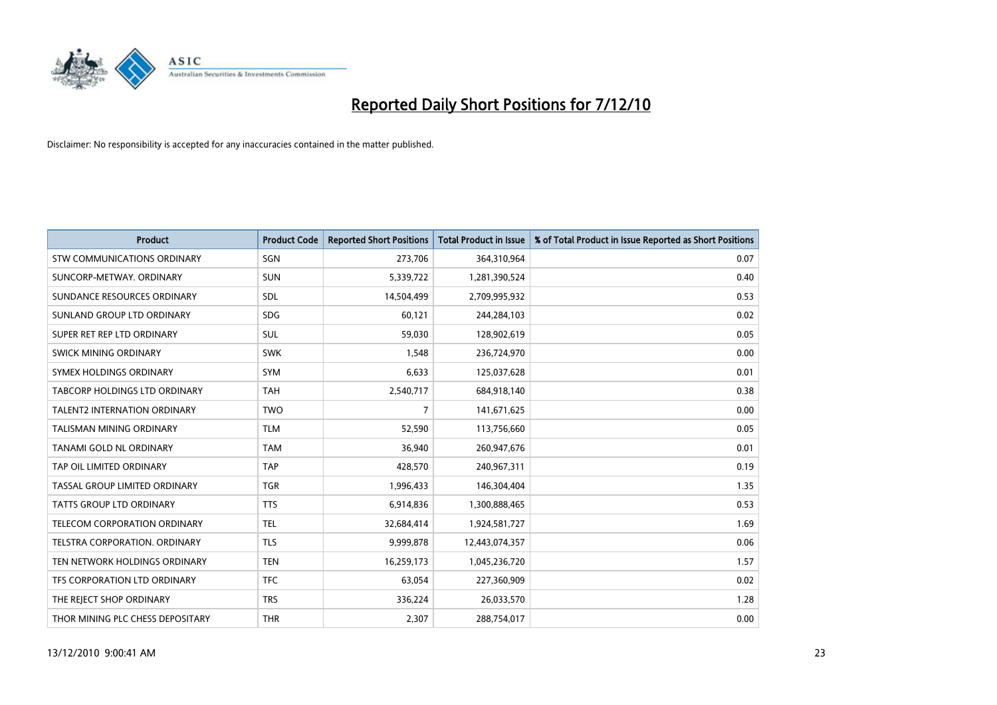

| <b>Product</b>                     | <b>Product Code</b> | <b>Reported Short Positions</b> | Total Product in Issue | % of Total Product in Issue Reported as Short Positions |
|------------------------------------|---------------------|---------------------------------|------------------------|---------------------------------------------------------|
| <b>STW COMMUNICATIONS ORDINARY</b> | SGN                 | 273,706                         | 364,310,964            | 0.07                                                    |
| SUNCORP-METWAY, ORDINARY           | <b>SUN</b>          | 5,339,722                       | 1,281,390,524          | 0.40                                                    |
| SUNDANCE RESOURCES ORDINARY        | <b>SDL</b>          | 14,504,499                      | 2,709,995,932          | 0.53                                                    |
| SUNLAND GROUP LTD ORDINARY         | <b>SDG</b>          | 60,121                          | 244,284,103            | 0.02                                                    |
| SUPER RET REP LTD ORDINARY         | <b>SUL</b>          | 59.030                          | 128,902,619            | 0.05                                                    |
| SWICK MINING ORDINARY              | <b>SWK</b>          | 1,548                           | 236,724,970            | 0.00                                                    |
| SYMEX HOLDINGS ORDINARY            | <b>SYM</b>          | 6,633                           | 125,037,628            | 0.01                                                    |
| TABCORP HOLDINGS LTD ORDINARY      | <b>TAH</b>          | 2,540,717                       | 684,918,140            | 0.38                                                    |
| TALENT2 INTERNATION ORDINARY       | <b>TWO</b>          | 7                               | 141,671,625            | 0.00                                                    |
| <b>TALISMAN MINING ORDINARY</b>    | <b>TLM</b>          | 52,590                          | 113,756,660            | 0.05                                                    |
| TANAMI GOLD NL ORDINARY            | <b>TAM</b>          | 36,940                          | 260,947,676            | 0.01                                                    |
| TAP OIL LIMITED ORDINARY           | <b>TAP</b>          | 428,570                         | 240,967,311            | 0.19                                                    |
| TASSAL GROUP LIMITED ORDINARY      | <b>TGR</b>          | 1,996,433                       | 146,304,404            | 1.35                                                    |
| <b>TATTS GROUP LTD ORDINARY</b>    | <b>TTS</b>          | 6,914,836                       | 1,300,888,465          | 0.53                                                    |
| TELECOM CORPORATION ORDINARY       | <b>TEL</b>          | 32,684,414                      | 1,924,581,727          | 1.69                                                    |
| TELSTRA CORPORATION, ORDINARY      | <b>TLS</b>          | 9,999,878                       | 12,443,074,357         | 0.06                                                    |
| TEN NETWORK HOLDINGS ORDINARY      | <b>TEN</b>          | 16,259,173                      | 1,045,236,720          | 1.57                                                    |
| TFS CORPORATION LTD ORDINARY       | <b>TFC</b>          | 63,054                          | 227,360,909            | 0.02                                                    |
| THE REJECT SHOP ORDINARY           | <b>TRS</b>          | 336,224                         | 26,033,570             | 1.28                                                    |
| THOR MINING PLC CHESS DEPOSITARY   | <b>THR</b>          | 2.307                           | 288,754,017            | 0.00                                                    |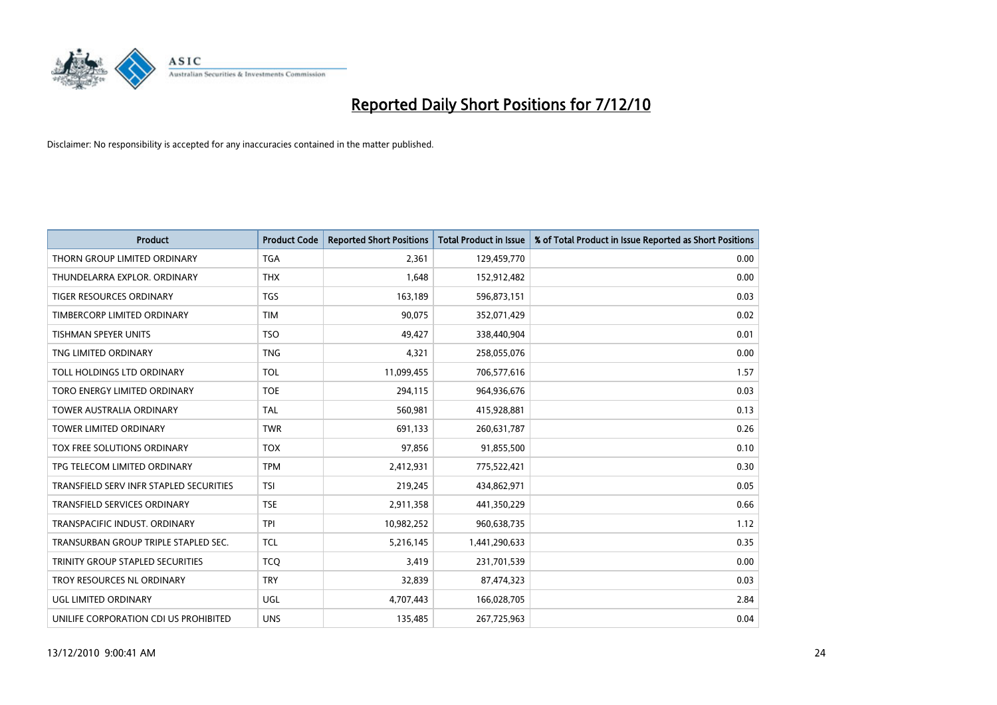

| <b>Product</b>                          | <b>Product Code</b> | <b>Reported Short Positions</b> | <b>Total Product in Issue</b> | % of Total Product in Issue Reported as Short Positions |
|-----------------------------------------|---------------------|---------------------------------|-------------------------------|---------------------------------------------------------|
| THORN GROUP LIMITED ORDINARY            | <b>TGA</b>          | 2,361                           | 129,459,770                   | 0.00                                                    |
| THUNDELARRA EXPLOR, ORDINARY            | <b>THX</b>          | 1.648                           | 152,912,482                   | 0.00                                                    |
| <b>TIGER RESOURCES ORDINARY</b>         | <b>TGS</b>          | 163,189                         | 596,873,151                   | 0.03                                                    |
| TIMBERCORP LIMITED ORDINARY             | <b>TIM</b>          | 90,075                          | 352,071,429                   | 0.02                                                    |
| <b>TISHMAN SPEYER UNITS</b>             | <b>TSO</b>          | 49.427                          | 338,440,904                   | 0.01                                                    |
| TNG LIMITED ORDINARY                    | <b>TNG</b>          | 4,321                           | 258,055,076                   | 0.00                                                    |
| TOLL HOLDINGS LTD ORDINARY              | <b>TOL</b>          | 11,099,455                      | 706,577,616                   | 1.57                                                    |
| TORO ENERGY LIMITED ORDINARY            | <b>TOE</b>          | 294,115                         | 964,936,676                   | 0.03                                                    |
| TOWER AUSTRALIA ORDINARY                | <b>TAL</b>          | 560,981                         | 415,928,881                   | 0.13                                                    |
| <b>TOWER LIMITED ORDINARY</b>           | <b>TWR</b>          | 691,133                         | 260,631,787                   | 0.26                                                    |
| TOX FREE SOLUTIONS ORDINARY             | <b>TOX</b>          | 97,856                          | 91,855,500                    | 0.10                                                    |
| TPG TELECOM LIMITED ORDINARY            | <b>TPM</b>          | 2,412,931                       | 775,522,421                   | 0.30                                                    |
| TRANSFIELD SERV INFR STAPLED SECURITIES | <b>TSI</b>          | 219,245                         | 434,862,971                   | 0.05                                                    |
| <b>TRANSFIELD SERVICES ORDINARY</b>     | <b>TSE</b>          | 2,911,358                       | 441,350,229                   | 0.66                                                    |
| TRANSPACIFIC INDUST. ORDINARY           | <b>TPI</b>          | 10,982,252                      | 960,638,735                   | 1.12                                                    |
| TRANSURBAN GROUP TRIPLE STAPLED SEC.    | <b>TCL</b>          | 5,216,145                       | 1,441,290,633                 | 0.35                                                    |
| TRINITY GROUP STAPLED SECURITIES        | <b>TCQ</b>          | 3,419                           | 231,701,539                   | 0.00                                                    |
| TROY RESOURCES NL ORDINARY              | <b>TRY</b>          | 32,839                          | 87,474,323                    | 0.03                                                    |
| UGL LIMITED ORDINARY                    | <b>UGL</b>          | 4,707,443                       | 166,028,705                   | 2.84                                                    |
| UNILIFE CORPORATION CDI US PROHIBITED   | <b>UNS</b>          | 135,485                         | 267,725,963                   | 0.04                                                    |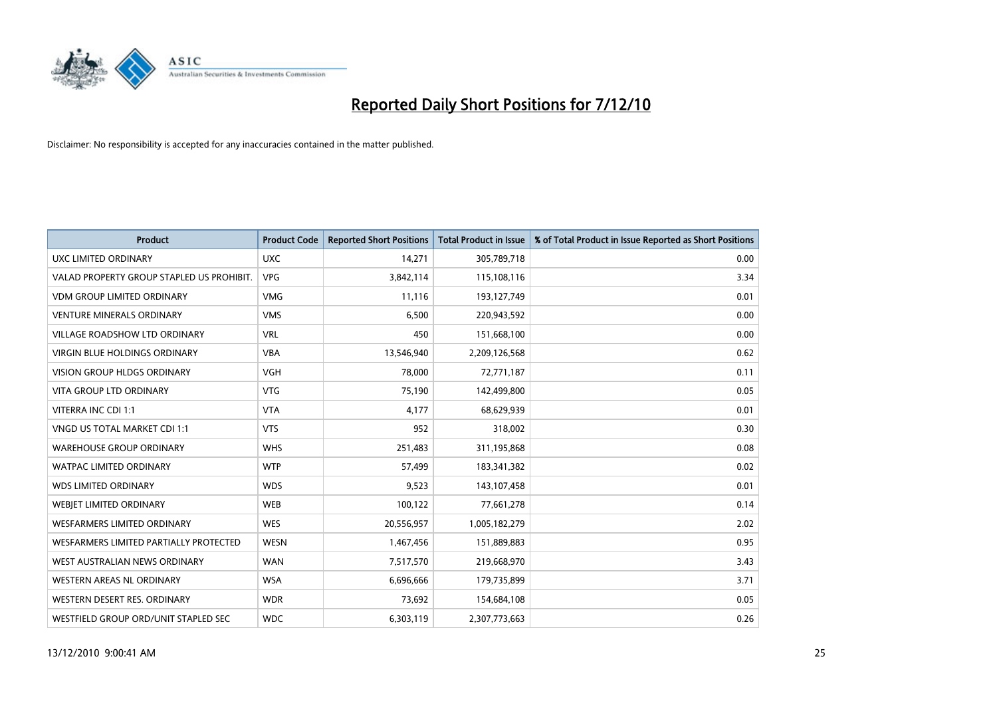

| <b>Product</b>                            | <b>Product Code</b> | <b>Reported Short Positions</b> | Total Product in Issue | % of Total Product in Issue Reported as Short Positions |
|-------------------------------------------|---------------------|---------------------------------|------------------------|---------------------------------------------------------|
| <b>UXC LIMITED ORDINARY</b>               | <b>UXC</b>          | 14,271                          | 305,789,718            | 0.00                                                    |
| VALAD PROPERTY GROUP STAPLED US PROHIBIT. | <b>VPG</b>          | 3,842,114                       | 115,108,116            | 3.34                                                    |
| <b>VDM GROUP LIMITED ORDINARY</b>         | <b>VMG</b>          | 11,116                          | 193,127,749            | 0.01                                                    |
| <b>VENTURE MINERALS ORDINARY</b>          | <b>VMS</b>          | 6,500                           | 220,943,592            | 0.00                                                    |
| <b>VILLAGE ROADSHOW LTD ORDINARY</b>      | <b>VRL</b>          | 450                             | 151,668,100            | 0.00                                                    |
| <b>VIRGIN BLUE HOLDINGS ORDINARY</b>      | <b>VBA</b>          | 13,546,940                      | 2,209,126,568          | 0.62                                                    |
| <b>VISION GROUP HLDGS ORDINARY</b>        | <b>VGH</b>          | 78.000                          | 72,771,187             | 0.11                                                    |
| <b>VITA GROUP LTD ORDINARY</b>            | <b>VTG</b>          | 75,190                          | 142,499,800            | 0.05                                                    |
| VITERRA INC CDI 1:1                       | <b>VTA</b>          | 4,177                           | 68,629,939             | 0.01                                                    |
| VNGD US TOTAL MARKET CDI 1:1              | <b>VTS</b>          | 952                             | 318,002                | 0.30                                                    |
| <b>WAREHOUSE GROUP ORDINARY</b>           | <b>WHS</b>          | 251,483                         | 311,195,868            | 0.08                                                    |
| <b>WATPAC LIMITED ORDINARY</b>            | <b>WTP</b>          | 57,499                          | 183,341,382            | 0.02                                                    |
| <b>WDS LIMITED ORDINARY</b>               | <b>WDS</b>          | 9,523                           | 143,107,458            | 0.01                                                    |
| WEBIET LIMITED ORDINARY                   | <b>WEB</b>          | 100,122                         | 77,661,278             | 0.14                                                    |
| <b>WESFARMERS LIMITED ORDINARY</b>        | <b>WES</b>          | 20,556,957                      | 1,005,182,279          | 2.02                                                    |
| WESFARMERS LIMITED PARTIALLY PROTECTED    | <b>WESN</b>         | 1,467,456                       | 151,889,883            | 0.95                                                    |
| WEST AUSTRALIAN NEWS ORDINARY             | <b>WAN</b>          | 7,517,570                       | 219,668,970            | 3.43                                                    |
| WESTERN AREAS NL ORDINARY                 | <b>WSA</b>          | 6,696,666                       | 179,735,899            | 3.71                                                    |
| WESTERN DESERT RES. ORDINARY              | <b>WDR</b>          | 73,692                          | 154,684,108            | 0.05                                                    |
| WESTFIELD GROUP ORD/UNIT STAPLED SEC      | <b>WDC</b>          | 6,303,119                       | 2,307,773,663          | 0.26                                                    |